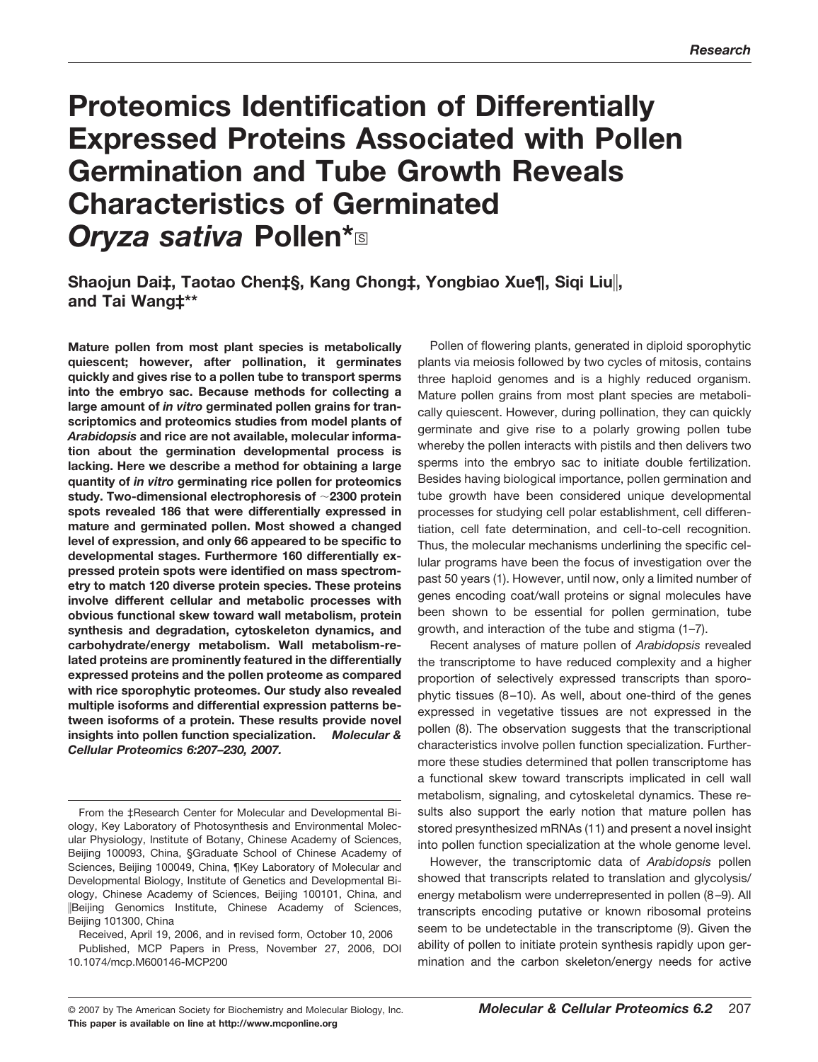# **Proteomics Identification of Differentially Expressed Proteins Associated with Pollen Germination and Tube Growth Reveals Characteristics of Germinated Oryza sativa Pollen\***<sup>®</sup>

**Shaojun Dai‡, Taotao Chen‡§, Kang Chong‡, Yongbiao Xue¶, Siqi Liu, and Tai Wang‡\*\***

**Mature pollen from most plant species is metabolically quiescent; however, after pollination, it germinates quickly and gives rise to a pollen tube to transport sperms into the embryo sac. Because methods for collecting a large amount of** *in vitro* **germinated pollen grains for transcriptomics and proteomics studies from model plants of** *Arabidopsis* **and rice are not available, molecular information about the germination developmental process is lacking. Here we describe a method for obtaining a large quantity of** *in vitro* **germinating rice pollen for proteomics study. Two-dimensional electrophoresis of 2300 protein spots revealed 186 that were differentially expressed in mature and germinated pollen. Most showed a changed level of expression, and only 66 appeared to be specific to developmental stages. Furthermore 160 differentially expressed protein spots were identified on mass spectrometry to match 120 diverse protein species. These proteins involve different cellular and metabolic processes with obvious functional skew toward wall metabolism, protein synthesis and degradation, cytoskeleton dynamics, and carbohydrate/energy metabolism. Wall metabolism-related proteins are prominently featured in the differentially expressed proteins and the pollen proteome as compared with rice sporophytic proteomes. Our study also revealed multiple isoforms and differential expression patterns between isoforms of a protein. These results provide novel insights into pollen function specialization.** *Molecular & Cellular Proteomics 6:207–230, 2007.*

Pollen of flowering plants, generated in diploid sporophytic plants via meiosis followed by two cycles of mitosis, contains three haploid genomes and is a highly reduced organism. Mature pollen grains from most plant species are metabolically quiescent. However, during pollination, they can quickly germinate and give rise to a polarly growing pollen tube whereby the pollen interacts with pistils and then delivers two sperms into the embryo sac to initiate double fertilization. Besides having biological importance, pollen germination and tube growth have been considered unique developmental processes for studying cell polar establishment, cell differentiation, cell fate determination, and cell-to-cell recognition. Thus, the molecular mechanisms underlining the specific cellular programs have been the focus of investigation over the past 50 years (1). However, until now, only a limited number of genes encoding coat/wall proteins or signal molecules have been shown to be essential for pollen germination, tube growth, and interaction of the tube and stigma (1–7).

Recent analyses of mature pollen of *Arabidopsis* revealed the transcriptome to have reduced complexity and a higher proportion of selectively expressed transcripts than sporophytic tissues (8 –10). As well, about one-third of the genes expressed in vegetative tissues are not expressed in the pollen (8). The observation suggests that the transcriptional characteristics involve pollen function specialization. Furthermore these studies determined that pollen transcriptome has a functional skew toward transcripts implicated in cell wall metabolism, signaling, and cytoskeletal dynamics. These results also support the early notion that mature pollen has stored presynthesized mRNAs (11) and present a novel insight into pollen function specialization at the whole genome level.

However, the transcriptomic data of *Arabidopsis* pollen showed that transcripts related to translation and glycolysis/ energy metabolism were underrepresented in pollen (8 –9). All transcripts encoding putative or known ribosomal proteins seem to be undetectable in the transcriptome (9). Given the ability of pollen to initiate protein synthesis rapidly upon germination and the carbon skeleton/energy needs for active

From the ‡Research Center for Molecular and Developmental Biology, Key Laboratory of Photosynthesis and Environmental Molecular Physiology, Institute of Botany, Chinese Academy of Sciences, Beijing 100093, China, §Graduate School of Chinese Academy of Sciences, Beijing 100049, China, ¶Key Laboratory of Molecular and Developmental Biology, Institute of Genetics and Developmental Biology, Chinese Academy of Sciences, Beijing 100101, China, and Beijing Genomics Institute, Chinese Academy of Sciences, Beijing 101300, China

Received, April 19, 2006, and in revised form, October 10, 2006 Published, MCP Papers in Press, November 27, 2006, DOI 10.1074/mcp.M600146-MCP200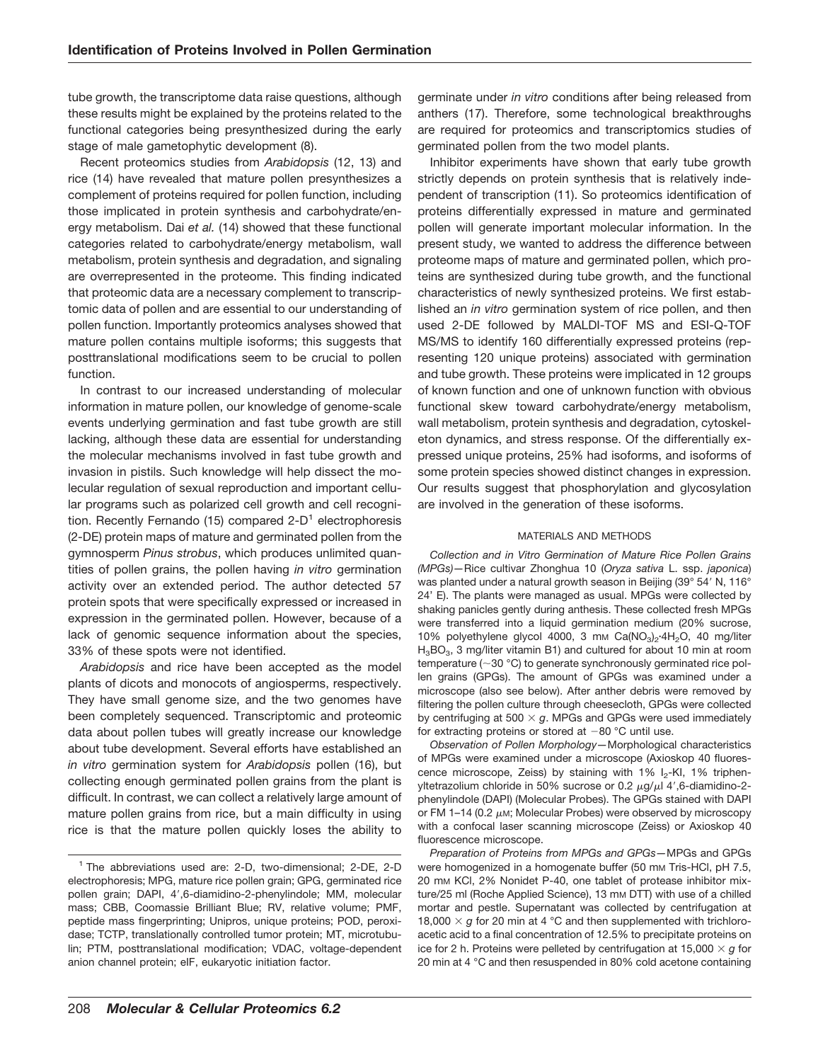tube growth, the transcriptome data raise questions, although these results might be explained by the proteins related to the functional categories being presynthesized during the early stage of male gametophytic development (8).

Recent proteomics studies from *Arabidopsis* (12, 13) and rice (14) have revealed that mature pollen presynthesizes a complement of proteins required for pollen function, including those implicated in protein synthesis and carbohydrate/energy metabolism. Dai *et al.* (14) showed that these functional categories related to carbohydrate/energy metabolism, wall metabolism, protein synthesis and degradation, and signaling are overrepresented in the proteome. This finding indicated that proteomic data are a necessary complement to transcriptomic data of pollen and are essential to our understanding of pollen function. Importantly proteomics analyses showed that mature pollen contains multiple isoforms; this suggests that posttranslational modifications seem to be crucial to pollen function.

In contrast to our increased understanding of molecular information in mature pollen, our knowledge of genome-scale events underlying germination and fast tube growth are still lacking, although these data are essential for understanding the molecular mechanisms involved in fast tube growth and invasion in pistils. Such knowledge will help dissect the molecular regulation of sexual reproduction and important cellular programs such as polarized cell growth and cell recognition. Recently Fernando (15) compared  $2-D<sup>1</sup>$  electrophoresis (2-DE) protein maps of mature and germinated pollen from the gymnosperm *Pinus strobus*, which produces unlimited quantities of pollen grains, the pollen having *in vitro* germination activity over an extended period. The author detected 57 protein spots that were specifically expressed or increased in expression in the germinated pollen. However, because of a lack of genomic sequence information about the species, 33% of these spots were not identified.

*Arabidopsis* and rice have been accepted as the model plants of dicots and monocots of angiosperms, respectively. They have small genome size, and the two genomes have been completely sequenced. Transcriptomic and proteomic data about pollen tubes will greatly increase our knowledge about tube development. Several efforts have established an *in vitro* germination system for *Arabidopsis* pollen (16), but collecting enough germinated pollen grains from the plant is difficult. In contrast, we can collect a relatively large amount of mature pollen grains from rice, but a main difficulty in using rice is that the mature pollen quickly loses the ability to germinate under *in vitro* conditions after being released from anthers (17). Therefore, some technological breakthroughs are required for proteomics and transcriptomics studies of germinated pollen from the two model plants.

Inhibitor experiments have shown that early tube growth strictly depends on protein synthesis that is relatively independent of transcription (11). So proteomics identification of proteins differentially expressed in mature and germinated pollen will generate important molecular information. In the present study, we wanted to address the difference between proteome maps of mature and germinated pollen, which proteins are synthesized during tube growth, and the functional characteristics of newly synthesized proteins. We first established an *in vitro* germination system of rice pollen, and then used 2-DE followed by MALDI-TOF MS and ESI-Q-TOF MS/MS to identify 160 differentially expressed proteins (representing 120 unique proteins) associated with germination and tube growth. These proteins were implicated in 12 groups of known function and one of unknown function with obvious functional skew toward carbohydrate/energy metabolism, wall metabolism, protein synthesis and degradation, cytoskeleton dynamics, and stress response. Of the differentially expressed unique proteins, 25% had isoforms, and isoforms of some protein species showed distinct changes in expression. Our results suggest that phosphorylation and glycosylation are involved in the generation of these isoforms.

## MATERIALS AND METHODS

*Collection and in Vitro Germination of Mature Rice Pollen Grains (MPGs)—*Rice cultivar Zhonghua 10 (*Oryza sativa* L. ssp. *japonica*) was planted under a natural growth season in Beijing (39° 54′ N, 116° 24' E). The plants were managed as usual. MPGs were collected by shaking panicles gently during anthesis. These collected fresh MPGs were transferred into a liquid germination medium (20% sucrose, 10% polyethylene glycol 4000, 3 mm  $Ca(NO<sub>3</sub>)<sub>2</sub>$ ·4H<sub>2</sub>O, 40 mg/liter  $H_3BO_3$ , 3 mg/liter vitamin B1) and cultured for about 10 min at room temperature (~30 °C) to generate synchronously germinated rice pollen grains (GPGs). The amount of GPGs was examined under a microscope (also see below). After anther debris were removed by filtering the pollen culture through cheesecloth, GPGs were collected by centrifuging at 500  $\times$  g. MPGs and GPGs were used immediately for extracting proteins or stored at  $-80$  °C until use.

*Observation of Pollen Morphology—*Morphological characteristics of MPGs were examined under a microscope (Axioskop 40 fluorescence microscope, Zeiss) by staining with 1% I<sub>2</sub>-KI, 1% triphenyltetrazolium chloride in 50% sucrose or 0.2  $\mu$ g/ $\mu$ l 4',6-diamidino-2phenylindole (DAPI) (Molecular Probes). The GPGs stained with DAPI or FM 1–14 (0.2  $\mu$ M; Molecular Probes) were observed by microscopy with a confocal laser scanning microscope (Zeiss) or Axioskop 40 fluorescence microscope.

*Preparation of Proteins from MPGs and GPGs—*MPGs and GPGs were homogenized in a homogenate buffer (50 mm Tris-HCl, pH 7.5, 20 mM KCl, 2% Nonidet P-40, one tablet of protease inhibitor mixture/25 ml (Roche Applied Science), 13 mm DTT) with use of a chilled mortar and pestle. Supernatant was collected by centrifugation at 18,000  $\times$  q for 20 min at 4 °C and then supplemented with trichloroacetic acid to a final concentration of 12.5% to precipitate proteins on ice for 2 h. Proteins were pelleted by centrifugation at  $15,000 \times g$  for 20 min at 4 °C and then resuspended in 80% cold acetone containing

<sup>1</sup> The abbreviations used are: 2-D, two-dimensional; 2-DE, 2-D electrophoresis; MPG, mature rice pollen grain; GPG, germinated rice pollen grain; DAPI, 4',6-diamidino-2-phenylindole; MM, molecular mass; CBB, Coomassie Brilliant Blue; RV, relative volume; PMF, peptide mass fingerprinting; Unipros, unique proteins; POD, peroxidase; TCTP, translationally controlled tumor protein; MT, microtubulin; PTM, posttranslational modification; VDAC, voltage-dependent anion channel protein; eIF, eukaryotic initiation factor.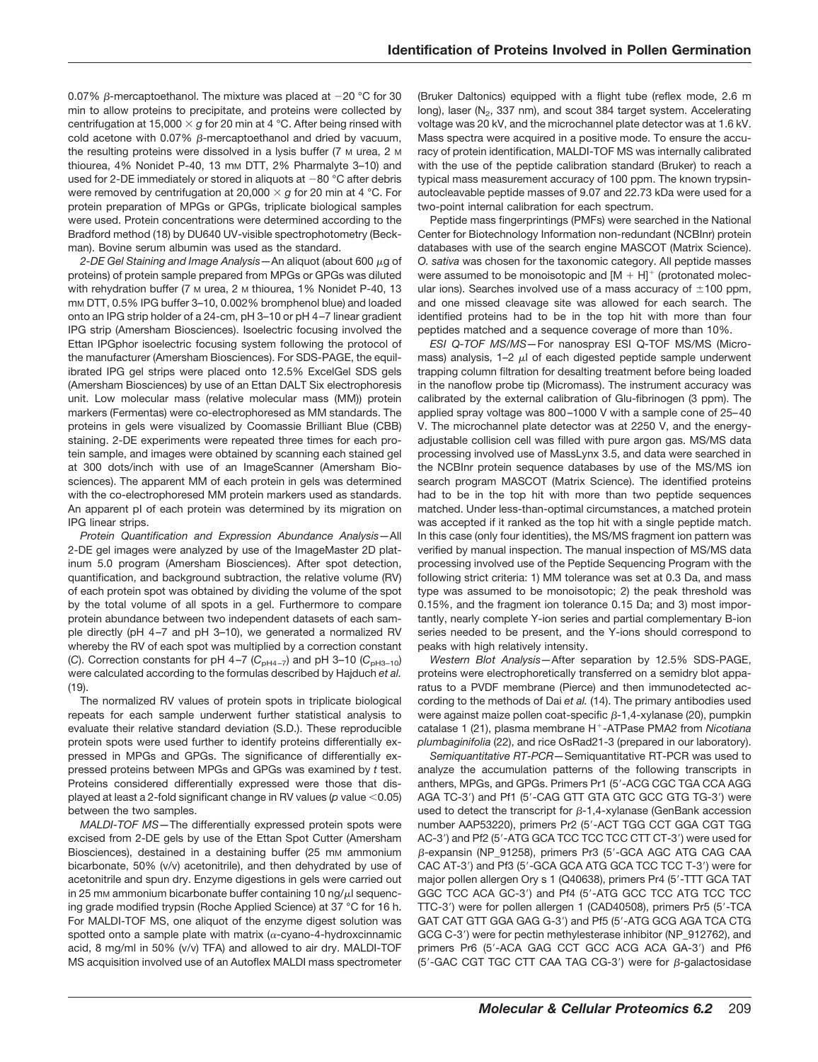0.07%  $\beta$ -mercaptoethanol. The mixture was placed at  $-20$  °C for 30 min to allow proteins to precipitate, and proteins were collected by centrifugation at 15,000  $\times$  g for 20 min at 4 °C. After being rinsed with cold acetone with 0.07%  $\beta$ -mercaptoethanol and dried by vacuum, the resulting proteins were dissolved in a lysis buffer (7 M urea, 2 M thiourea, 4% Nonidet P-40, 13 mm DTT, 2% Pharmalyte 3-10) and used for 2-DE immediately or stored in aliquots at  $-80$  °C after debris were removed by centrifugation at 20,000  $\times$  g for 20 min at 4 °C. For protein preparation of MPGs or GPGs, triplicate biological samples were used. Protein concentrations were determined according to the Bradford method (18) by DU640 UV-visible spectrophotometry (Beckman). Bovine serum albumin was used as the standard.

2-DE Gel Staining and Image Analysis - An aliquot (about 600 μg of proteins) of protein sample prepared from MPGs or GPGs was diluted with rehydration buffer (7 M urea, 2 M thiourea, 1% Nonidet P-40, 13 mM DTT, 0.5% IPG buffer 3–10, 0.002% bromphenol blue) and loaded onto an IPG strip holder of a 24-cm, pH 3–10 or pH 4 –7 linear gradient IPG strip (Amersham Biosciences). Isoelectric focusing involved the Ettan IPGphor isoelectric focusing system following the protocol of the manufacturer (Amersham Biosciences). For SDS-PAGE, the equilibrated IPG gel strips were placed onto 12.5% ExcelGel SDS gels (Amersham Biosciences) by use of an Ettan DALT Six electrophoresis unit. Low molecular mass (relative molecular mass (MM)) protein markers (Fermentas) were co-electrophoresed as MM standards. The proteins in gels were visualized by Coomassie Brilliant Blue (CBB) staining. 2-DE experiments were repeated three times for each protein sample, and images were obtained by scanning each stained gel at 300 dots/inch with use of an ImageScanner (Amersham Biosciences). The apparent MM of each protein in gels was determined with the co-electrophoresed MM protein markers used as standards. An apparent pI of each protein was determined by its migration on IPG linear strips.

*Protein Quantification and Expression Abundance Analysis—*All 2-DE gel images were analyzed by use of the ImageMaster 2D platinum 5.0 program (Amersham Biosciences). After spot detection, quantification, and background subtraction, the relative volume (RV) of each protein spot was obtained by dividing the volume of the spot by the total volume of all spots in a gel. Furthermore to compare protein abundance between two independent datasets of each sample directly (pH 4-7 and pH 3-10), we generated a normalized RV whereby the RV of each spot was multiplied by a correction constant (C). Correction constants for pH 4-7 ( $C_{pH4-7}$ ) and pH 3-10 ( $C_{pH3-10}$ ) were calculated according to the formulas described by Hajduch *et al.* (19).

The normalized RV values of protein spots in triplicate biological repeats for each sample underwent further statistical analysis to evaluate their relative standard deviation (S.D.). These reproducible protein spots were used further to identify proteins differentially expressed in MPGs and GPGs. The significance of differentially expressed proteins between MPGs and GPGs was examined by *t* test. Proteins considered differentially expressed were those that displayed at least a 2-fold significant change in RV values (*p* value < 0.05) between the two samples.

*MALDI-TOF MS—*The differentially expressed protein spots were excised from 2-DE gels by use of the Ettan Spot Cutter (Amersham Biosciences), destained in a destaining buffer (25 mm ammonium bicarbonate, 50% (v/v) acetonitrile), and then dehydrated by use of acetonitrile and spun dry. Enzyme digestions in gels were carried out in 25 mm ammonium bicarbonate buffer containing 10 ng/ $\mu$ l sequencing grade modified trypsin (Roche Applied Science) at 37 °C for 16 h. For MALDI-TOF MS, one aliquot of the enzyme digest solution was spotted onto a sample plate with matrix ( $\alpha$ -cyano-4-hydroxcinnamic acid, 8 mg/ml in 50% (v/v) TFA) and allowed to air dry. MALDI-TOF MS acquisition involved use of an Autoflex MALDI mass spectrometer

(Bruker Daltonics) equipped with a flight tube (reflex mode, 2.6 m long), laser ( $N_2$ , 337 nm), and scout 384 target system. Accelerating voltage was 20 kV, and the microchannel plate detector was at 1.6 kV. Mass spectra were acquired in a positive mode. To ensure the accuracy of protein identification, MALDI-TOF MS was internally calibrated with the use of the peptide calibration standard (Bruker) to reach a typical mass measurement accuracy of 100 ppm. The known trypsinautocleavable peptide masses of 9.07 and 22.73 kDa were used for a two-point internal calibration for each spectrum.

Peptide mass fingerprintings (PMFs) were searched in the National Center for Biotechnology Information non-redundant (NCBInr) protein databases with use of the search engine MASCOT (Matrix Science). *O. sativa* was chosen for the taxonomic category. All peptide masses were assumed to be monoisotopic and  $[M + H]$ <sup>+</sup> (protonated molecular ions). Searches involved use of a mass accuracy of  $\pm 100$  ppm, and one missed cleavage site was allowed for each search. The identified proteins had to be in the top hit with more than four peptides matched and a sequence coverage of more than 10%.

*ESI Q-TOF MS/MS—*For nanospray ESI Q-TOF MS/MS (Micromass) analysis,  $1-2$   $\mu$  of each digested peptide sample underwent trapping column filtration for desalting treatment before being loaded in the nanoflow probe tip (Micromass). The instrument accuracy was calibrated by the external calibration of Glu-fibrinogen (3 ppm). The applied spray voltage was 800 –1000 V with a sample cone of 25– 40 V. The microchannel plate detector was at 2250 V, and the energyadjustable collision cell was filled with pure argon gas. MS/MS data processing involved use of MassLynx 3.5, and data were searched in the NCBInr protein sequence databases by use of the MS/MS ion search program MASCOT (Matrix Science). The identified proteins had to be in the top hit with more than two peptide sequences matched. Under less-than-optimal circumstances, a matched protein was accepted if it ranked as the top hit with a single peptide match. In this case (only four identities), the MS/MS fragment ion pattern was verified by manual inspection. The manual inspection of MS/MS data processing involved use of the Peptide Sequencing Program with the following strict criteria: 1) MM tolerance was set at 0.3 Da, and mass type was assumed to be monoisotopic; 2) the peak threshold was 0.15%, and the fragment ion tolerance 0.15 Da; and 3) most importantly, nearly complete Y-ion series and partial complementary B-ion series needed to be present, and the Y-ions should correspond to peaks with high relatively intensity.

*Western Blot Analysis—*After separation by 12.5% SDS-PAGE, proteins were electrophoretically transferred on a semidry blot apparatus to a PVDF membrane (Pierce) and then immunodetected according to the methods of Dai *et al.* (14). The primary antibodies used were against maize pollen coat-specific  $β$ -1,4-xylanase (20), pumpkin catalase 1 (21), plasma membrane H<sup>+</sup>-ATPase PMA2 from *Nicotiana plumbaginifolia* (22), and rice OsRad21-3 (prepared in our laboratory).

*Semiquantitative RT-PCR—*Semiquantitative RT-PCR was used to analyze the accumulation patterns of the following transcripts in anthers, MPGs, and GPGs. Primers Pr1 (5'-ACG CGC TGA CCA AGG AGA TC-3') and Pf1 (5'-CAG GTT GTA GTC GCC GTG TG-3') were used to detect the transcript for  $\beta$ -1,4-xylanase (GenBank accession number AAP53220), primers Pr2 (5'-ACT TGG CCT GGA CGT TGG AC-3') and Pf2 (5'-ATG GCA TCC TCC TCC CTT CT-3') were used for β-expansin (NP\_91258), primers Pr3 (5'-GCA AGC ATG CAG CAA CAC AT-3') and Pf3 (5'-GCA GCA ATG GCA TCC TCC T-3') were for major pollen allergen Ory s 1 (Q40638), primers Pr4 (5'-TTT GCA TAT GGC TCC ACA GC-3') and Pf4 (5'-ATG GCC TCC ATG TCC TCC TTC-3') were for pollen allergen 1 (CAD40508), primers Pr5 (5'-TCA GAT CAT GTT GGA GAG G-3') and Pf5 (5'-ATG GCG AGA TCA CTG GCG C-3') were for pectin methylesterase inhibitor (NP\_912762), and primers Pr6 (5'-ACA GAG CCT GCC ACG ACA GA-3') and Pf6  $(5'-GAC CGT TGC CTT CAA TAG CG-3')$  were for  $\beta$ -galactosidase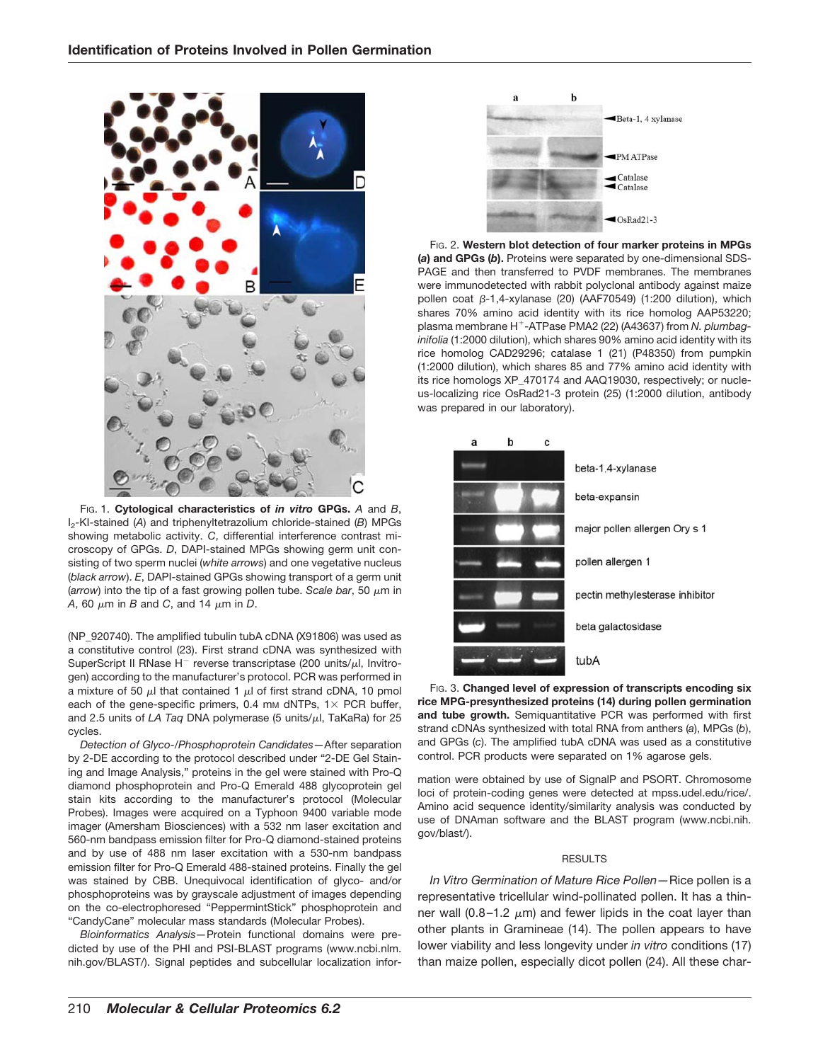

FIG. 1. **Cytological characteristics of** *in vitro* **GPGs.** *A* and *B*, I2-KI-stained (*A*) and triphenyltetrazolium chloride-stained (*B*) MPGs showing metabolic activity. *C*, differential interference contrast microscopy of GPGs. *D*, DAPI-stained MPGs showing germ unit consisting of two sperm nuclei (*white arrows*) and one vegetative nucleus (*black arrow*). *E*, DAPI-stained GPGs showing transport of a germ unit ( $arrow$ ) into the tip of a fast growing pollen tube. *Scale bar*, 50  $\mu$ m in *A*, 60  $\mu$ m in *B* and *C*, and 14  $\mu$ m in *D*.

(NP\_920740). The amplified tubulin tubA cDNA (X91806) was used as a constitutive control (23). First strand cDNA was synthesized with SuperScript II RNase  $H^-$  reverse transcriptase (200 units/ $\mu$ l, Invitrogen) according to the manufacturer's protocol. PCR was performed in a mixture of 50  $\mu$  that contained 1  $\mu$  of first strand cDNA, 10 pmol each of the gene-specific primers, 0.4 mm dNTPs,  $1 \times PCR$  buffer, and 2.5 units of *LA Taq DNA polymerase* (5 units/ $\mu$ l, TaKaRa) for 25 cycles.

*Detection of Glyco-/Phosphoprotein Candidates—*After separation by 2-DE according to the protocol described under "2-DE Gel Staining and Image Analysis," proteins in the gel were stained with Pro-Q diamond phosphoprotein and Pro-Q Emerald 488 glycoprotein gel stain kits according to the manufacturer's protocol (Molecular Probes). Images were acquired on a Typhoon 9400 variable mode imager (Amersham Biosciences) with a 532 nm laser excitation and 560-nm bandpass emission filter for Pro-Q diamond-stained proteins and by use of 488 nm laser excitation with a 530-nm bandpass emission filter for Pro-Q Emerald 488-stained proteins. Finally the gel was stained by CBB. Unequivocal identification of glyco- and/or phosphoproteins was by grayscale adjustment of images depending on the co-electrophoresed "PeppermintStick" phosphoprotein and "CandyCane" molecular mass standards (Molecular Probes).

*Bioinformatics Analysis—*Protein functional domains were predicted by use of the PHI and PSI-BLAST programs (www.ncbi.nlm. nih.gov/BLAST/). Signal peptides and subcellular localization infor-



FIG. 2. **Western blot detection of four marker proteins in MPGs (***a***) and GPGs (***b***).** Proteins were separated by one-dimensional SDS-PAGE and then transferred to PVDF membranes. The membranes were immunodetected with rabbit polyclonal antibody against maize pollen coat  $\beta$ -1,4-xylanase (20) (AAF70549) (1:200 dilution), which shares 70% amino acid identity with its rice homolog AAP53220; plasma membrane H<sup>+</sup>-ATPase PMA2 (22) (A43637) from *N. plumbaginifolia* (1:2000 dilution), which shares 90% amino acid identity with its rice homolog CAD29296; catalase 1 (21) (P48350) from pumpkin (1:2000 dilution), which shares 85 and 77% amino acid identity with its rice homologs XP\_470174 and AAQ19030, respectively; or nucleus-localizing rice OsRad21-3 protein (25) (1:2000 dilution, antibody was prepared in our laboratory).



FIG. 3. **Changed level of expression of transcripts encoding six rice MPG-presynthesized proteins (14) during pollen germination and tube growth.** Semiquantitative PCR was performed with first strand cDNAs synthesized with total RNA from anthers (*a*), MPGs (*b*), and GPGs (*c*). The amplified tubA cDNA was used as a constitutive control. PCR products were separated on 1% agarose gels.

mation were obtained by use of SignalP and PSORT. Chromosome loci of protein-coding genes were detected at mpss.udel.edu/rice/. Amino acid sequence identity/similarity analysis was conducted by use of DNAman software and the BLAST program (www.ncbi.nih. gov/blast/).

## **RESULTS**

*In Vitro Germination of Mature Rice Pollen—*Rice pollen is a representative tricellular wind-pollinated pollen. It has a thinner wall (0.8-1.2  $\mu$ m) and fewer lipids in the coat layer than other plants in Gramineae (14). The pollen appears to have lower viability and less longevity under *in vitro* conditions (17) than maize pollen, especially dicot pollen (24). All these char-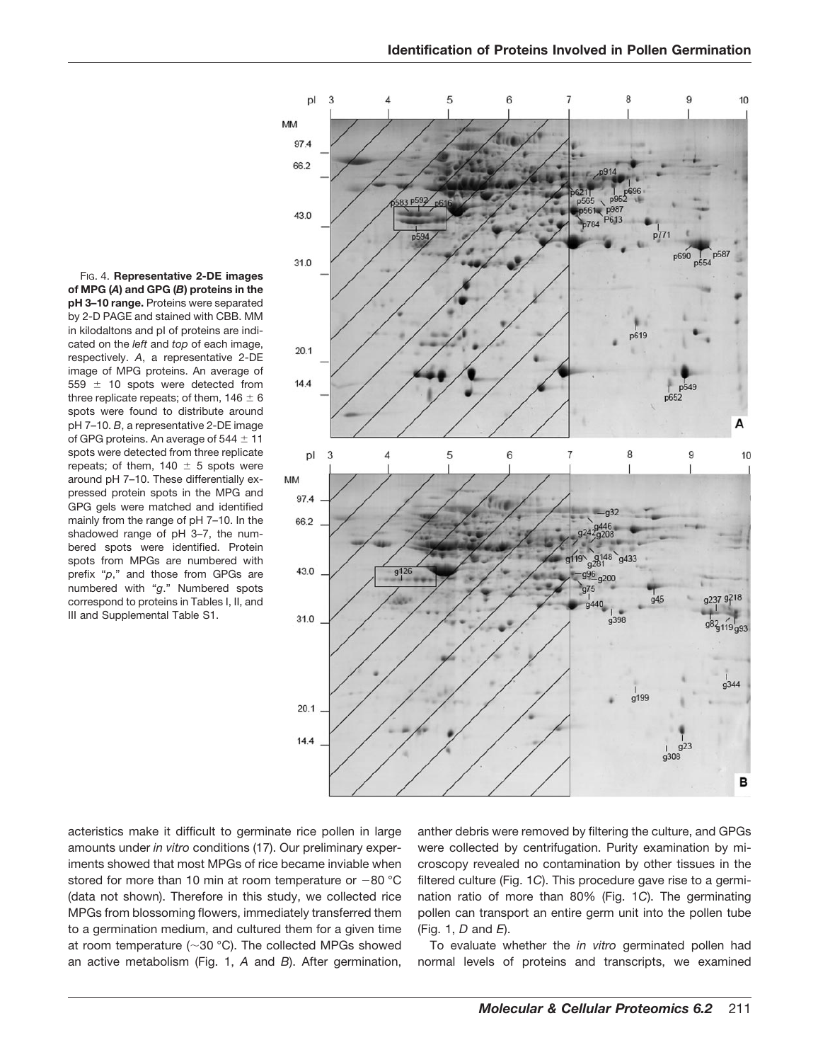FIG. 4. **Representative 2-DE images of MPG (***A***) and GPG (***B***) proteins in the pH 3–10 range.** Proteins were separated by 2-D PAGE and stained with CBB. MM in kilodaltons and pI of proteins are indicated on the *left* and *top* of each image, respectively. *A*, a representative 2-DE image of MPG proteins. An average of 559  $\pm$  10 spots were detected from three replicate repeats; of them,  $146 \pm 6$ spots were found to distribute around pH 7–10. *B*, a representative 2-DE image of GPG proteins. An average of  $544 \pm 11$ spots were detected from three replicate repeats; of them,  $140 \pm 5$  spots were around pH 7–10. These differentially expressed protein spots in the MPG and GPG gels were matched and identified mainly from the range of pH 7–10. In the shadowed range of pH 3–7, the numbered spots were identified. Protein spots from MPGs are numbered with prefix "*p*," and those from GPGs are numbered with "*g*." Numbered spots correspond to proteins in Tables I, II, and III and Supplemental Table S1.



acteristics make it difficult to germinate rice pollen in large amounts under *in vitro* conditions (17). Our preliminary experiments showed that most MPGs of rice became inviable when stored for more than 10 min at room temperature or  $-80$  °C (data not shown). Therefore in this study, we collected rice MPGs from blossoming flowers, immediately transferred them to a germination medium, and cultured them for a given time at room temperature ( $\sim$ 30 °C). The collected MPGs showed an active metabolism (Fig. 1, *A* and *B*). After germination, anther debris were removed by filtering the culture, and GPGs were collected by centrifugation. Purity examination by microscopy revealed no contamination by other tissues in the filtered culture (Fig. 1*C*). This procedure gave rise to a germination ratio of more than 80% (Fig. 1*C*). The germinating pollen can transport an entire germ unit into the pollen tube (Fig. 1, *D* and *E*).

To evaluate whether the *in vitro* germinated pollen had normal levels of proteins and transcripts, we examined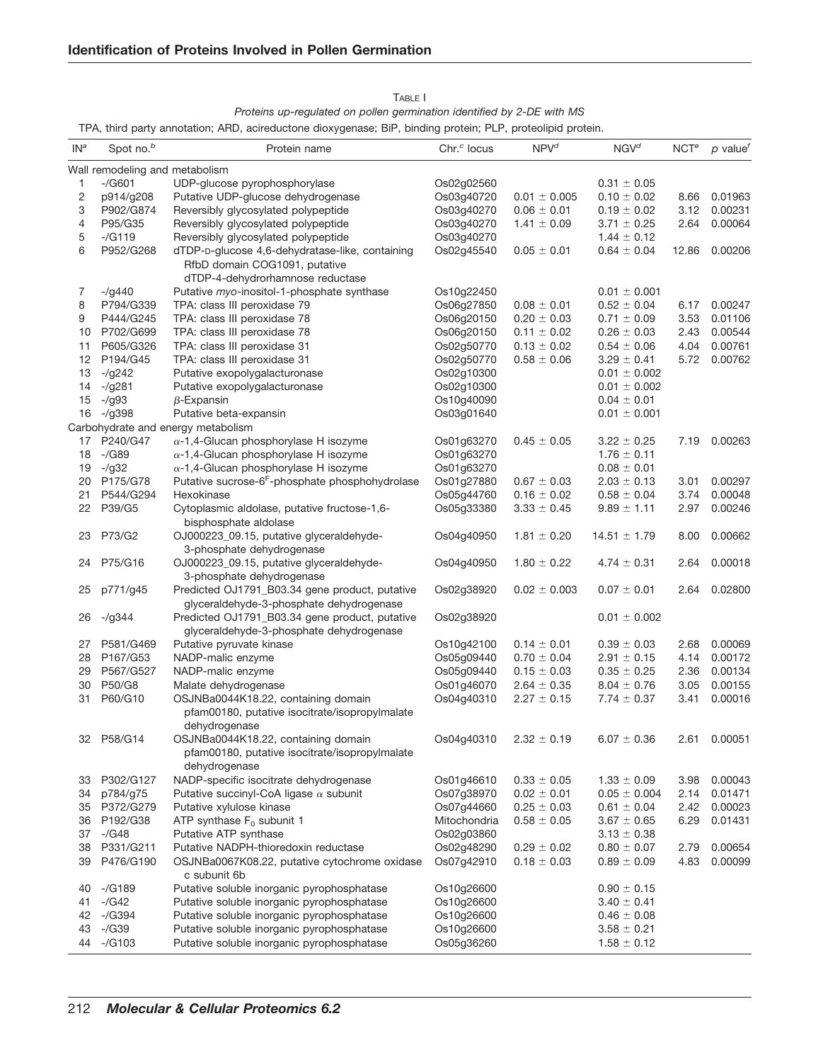|                 |                                | and party annotation, <i>rate,</i> aonoadotorio dioxygonado, en , pinaing protoni, r <b>e</b> r , protoonpia protoni. |                         |                  |                  |                  |                                     |
|-----------------|--------------------------------|-----------------------------------------------------------------------------------------------------------------------|-------------------------|------------------|------------------|------------------|-------------------------------------|
| IN <sup>a</sup> | Spot no. <sup>b</sup>          | Protein name                                                                                                          | Chr. <sup>c</sup> locus | $NPV^d$          | $NGV^d$          | NCT <sup>e</sup> | $p$ value <sup><math>f</math></sup> |
|                 | Wall remodeling and metabolism |                                                                                                                       |                         |                  |                  |                  |                                     |
| 1               | $-$ /G601                      | UDP-glucose pyrophosphorylase                                                                                         | Os02g02560              |                  | $0.31 \pm 0.05$  |                  |                                     |
| 2               | p914/g208                      | Putative UDP-glucose dehydrogenase                                                                                    | Os03g40720              | $0.01 \pm 0.005$ | $0.10 \pm 0.02$  | 8.66             | 0.01963                             |
| 3               | P902/G874                      | Reversibly glycosylated polypeptide                                                                                   | Os03g40270              | $0.06 \pm 0.01$  | $0.19 \pm 0.02$  | 3.12             | 0.00231                             |
| 4               | P95/G35                        | Reversibly glycosylated polypeptide                                                                                   | Os03g40270              | $1.41 \pm 0.09$  | $3.71 \pm 0.25$  | 2.64             | 0.00064                             |
| 5               | $-/G119$                       | Reversibly glycosylated polypeptide                                                                                   | Os03g40270              |                  | $1.44 \pm 0.12$  |                  |                                     |
| 6               | P952/G268                      | dTDP-D-glucose 4,6-dehydratase-like, containing                                                                       | Os02g45540              | $0.05 \pm 0.01$  | $0.64 \pm 0.04$  | 12.86            | 0.00206                             |
|                 |                                | RfbD domain COG1091, putative                                                                                         |                         |                  |                  |                  |                                     |
|                 |                                | dTDP-4-dehydrorhamnose reductase                                                                                      |                         |                  |                  |                  |                                     |
| 7               | $-$ /g440                      | Putative myo-inositol-1-phosphate synthase                                                                            | Os10g22450              |                  | $0.01 \pm 0.001$ |                  |                                     |
| 8               | P794/G339                      | TPA: class III peroxidase 79                                                                                          | Os06g27850              | $0.08 \pm 0.01$  | $0.52 \pm 0.04$  | 6.17             | 0.00247                             |
| 9               | P444/G245                      | TPA: class III peroxidase 78                                                                                          | Os06g20150              | $0.20 \pm 0.03$  | $0.71 \pm 0.09$  | 3.53             | 0.01106                             |
|                 | 10 P702/G699                   | TPA: class III peroxidase 78                                                                                          | Os06g20150              | $0.11 \pm 0.02$  | $0.26 \pm 0.03$  | 2.43             | 0.00544                             |
| 11              | P605/G326                      | TPA: class III peroxidase 31                                                                                          | Os02g50770              | $0.13 \pm 0.02$  | $0.54 \pm 0.06$  | 4.04             | 0.00761                             |
| 12              | P194/G45                       | TPA: class III peroxidase 31                                                                                          | Os02g50770              | $0.58 \pm 0.06$  | $3.29 \pm 0.41$  | 5.72             | 0.00762                             |
| 13              | $-$ /g242                      | Putative exopolygalacturonase                                                                                         | Os02g10300              |                  | $0.01 \pm 0.002$ |                  |                                     |
| 14              | $-$ /g281                      | Putative exopolygalacturonase                                                                                         | Os02g10300              |                  | $0.01 \pm 0.002$ |                  |                                     |
| 15              | $-$ /g93                       | $\beta$ -Expansin                                                                                                     | Os10g40090              |                  | $0.04 \pm 0.01$  |                  |                                     |
| 16              | $-$ /g398                      | Putative beta-expansin                                                                                                | Os03g01640              |                  | $0.01 \pm 0.001$ |                  |                                     |
|                 |                                | Carbohydrate and energy metabolism                                                                                    |                         |                  |                  |                  |                                     |
|                 | 17 P240/G47                    | $\alpha$ -1,4-Glucan phosphorylase H isozyme                                                                          | Os01g63270              | $0.45 \pm 0.05$  | $3.22 \pm 0.25$  | 7.19             | 0.00263                             |
| 18              | $-\sqrt{G}89$                  | $\alpha$ -1,4-Glucan phosphorylase H isozyme                                                                          | Os01g63270              |                  | $1.76 \pm 0.11$  |                  |                                     |
|                 | $-$ /q32                       |                                                                                                                       | Os01g63270              |                  | $0.08 \pm 0.01$  |                  |                                     |
| 19              | 20 P175/G78                    | $\alpha$ -1,4-Glucan phosphorylase H isozyme<br>Putative sucrose-6 <sup>F</sup> -phosphate phosphohydrolase           |                         |                  | $2.03 \pm 0.13$  | 3.01             | 0.00297                             |
|                 | 21 P544/G294                   |                                                                                                                       | Os01g27880              | $0.67 \pm 0.03$  |                  |                  |                                     |
|                 |                                | Hexokinase                                                                                                            | Os05g44760              | $0.16 \pm 0.02$  | $0.58 \pm 0.04$  | 3.74             | 0.00048                             |
|                 | 22 P39/G5                      | Cytoplasmic aldolase, putative fructose-1,6-<br>bisphosphate aldolase                                                 | Os05g33380              | $3.33 \pm 0.45$  | $9.89 \pm 1.11$  | 2.97             | 0.00246                             |
| 23              | P73/G2                         | OJ000223_09.15, putative glyceraldehyde-<br>3-phosphate dehydrogenase                                                 | Os04g40950              | $1.81 \pm 0.20$  | $14.51 \pm 1.79$ | 8.00             | 0.00662                             |
| 24              | P75/G16                        | OJ000223_09.15, putative glyceraldehyde-<br>3-phosphate dehydrogenase                                                 | Os04g40950              | $1.80 \pm 0.22$  | $4.74 \pm 0.31$  | 2.64             | 0.00018                             |
| 25              | p771/g45                       | Predicted OJ1791_B03.34 gene product, putative<br>glyceraldehyde-3-phosphate dehydrogenase                            | Os02g38920              | $0.02 \pm 0.003$ | $0.07 \pm 0.01$  | 2.64             | 0.02800                             |
| 26              | $-$ /g344                      | Predicted OJ1791_B03.34 gene product, putative<br>glyceraldehyde-3-phosphate dehydrogenase                            | Os02g38920              |                  | $0.01 \pm 0.002$ |                  |                                     |
|                 | 27 P581/G469                   | Putative pyruvate kinase                                                                                              | Os10g42100              | $0.14 \pm 0.01$  | $0.39 \pm 0.03$  | 2.68             | 0.00069                             |
|                 | 28 P167/G53                    | NADP-malic enzyme                                                                                                     | Os05g09440              | $0.70 \pm 0.04$  | $2.91 \pm 0.15$  | 4.14             | 0.00172                             |
|                 | 29 P567/G527                   | NADP-malic enzyme                                                                                                     | Os05g09440              | $0.15 \pm 0.03$  | $0.35 \pm 0.25$  | 2.36             | 0.00134                             |
|                 | 30 P50/G8                      |                                                                                                                       |                         |                  |                  | 3.05             | 0.00155                             |
|                 |                                | Malate dehydrogenase                                                                                                  | Os01g46070              | $2.64 \pm 0.35$  | $8.04 \pm 0.76$  |                  |                                     |
| 31              | P60/G10                        | OSJNBa0044K18.22, containing domain<br>pfam00180, putative isocitrate/isopropylmalate                                 | Os04g40310              | $2.27 \pm 0.15$  | $7.74 \pm 0.37$  | 3.41             | 0.00016                             |
|                 |                                | dehydrogenase                                                                                                         |                         |                  |                  |                  |                                     |
| 32              | P58/G14                        | OSJNBa0044K18.22, containing domain<br>pfam00180, putative isocitrate/isopropylmalate                                 | Os04g40310              | $2.32 \pm 0.19$  | $6.07 \pm 0.36$  | 2.61             | 0.00051                             |
|                 |                                | dehydrogenase                                                                                                         |                         |                  |                  |                  |                                     |
| 33              | P302/G127                      | NADP-specific isocitrate dehydrogenase                                                                                | Os01g46610              | $0.33 \pm 0.05$  | $1.33 \pm 0.09$  | 3.98             | 0.00043                             |
| 34              | p784/g75                       | Putative succinyl-CoA ligase $\alpha$ subunit                                                                         | Os07g38970              | $0.02 \pm 0.01$  | $0.05 \pm 0.004$ | 2.14             | 0.01471                             |
|                 | 35 P372/G279                   | Putative xylulose kinase                                                                                              | Os07g44660              | $0.25 \pm 0.03$  | $0.61 \pm 0.04$  | 2.42             | 0.00023                             |
| 36              | P192/G38                       | ATP synthase $F_0$ subunit 1                                                                                          | Mitochondria            | $0.58 \pm 0.05$  | $3.67 \pm 0.65$  | 6.29             | 0.01431                             |
|                 | 37 -/G48                       | Putative ATP synthase                                                                                                 | Os02g03860              |                  | $3.13 \pm 0.38$  |                  |                                     |
|                 | 38 P331/G211                   | Putative NADPH-thioredoxin reductase                                                                                  | Os02g48290              | $0.29 \pm 0.02$  | $0.80 \pm 0.07$  | 2.79             | 0.00654                             |
| 39              | P476/G190                      | OSJNBa0067K08.22, putative cytochrome oxidase<br>c subunit 6b                                                         | Os07g42910              | $0.18 \pm 0.03$  | $0.89 \pm 0.09$  | 4.83             | 0.00099                             |
| 40              | -/G189                         | Putative soluble inorganic pyrophosphatase                                                                            | Os10g26600              |                  | $0.90 \pm 0.15$  |                  |                                     |
| 41              | $-\frac{1}{9}$                 | Putative soluble inorganic pyrophosphatase                                                                            | Os10g26600              |                  | $3.40 \pm 0.41$  |                  |                                     |
|                 | 42 -/G394                      | Putative soluble inorganic pyrophosphatase                                                                            | Os10g26600              |                  | $0.46 \pm 0.08$  |                  |                                     |
|                 | 43 -/G39                       | Putative soluble inorganic pyrophosphatase                                                                            | Os10g26600              |                  | $3.58 \pm 0.21$  |                  |                                     |
| 44              | $-(G103)$                      | Putative soluble inorganic pyrophosphatase                                                                            | Os05g36260              |                  | $1.58 \pm 0.12$  |                  |                                     |
|                 |                                |                                                                                                                       |                         |                  |                  |                  |                                     |

| TABLE I                                                                |
|------------------------------------------------------------------------|
| Proteins up-regulated on pollen germination identified by 2-DE with MS |

TPA, third party annotation; ARD, acireductone dioxygenase; BiP, binding protein; PLP, proteolipid protein.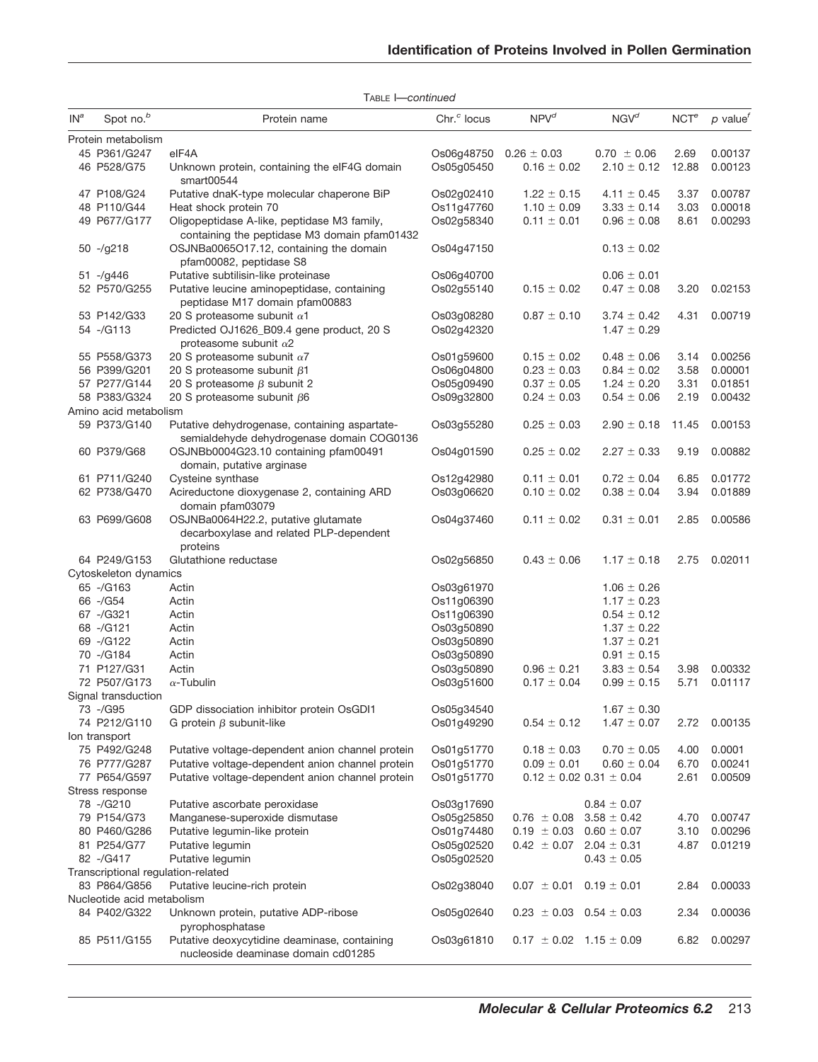|        |                                            | $1$ ADLE I $-$ CUITUITUU                                                                    |                         |                                     |                                 |                  |                                     |
|--------|--------------------------------------------|---------------------------------------------------------------------------------------------|-------------------------|-------------------------------------|---------------------------------|------------------|-------------------------------------|
| $IN^a$ | Spot no. <sup>b</sup>                      | Protein name                                                                                | Chr. <sup>c</sup> locus | $NPV^d$                             | NGV <sup>d</sup>                | NCT <sup>e</sup> | $p$ value <sup><math>f</math></sup> |
|        | Protein metabolism                         |                                                                                             |                         |                                     |                                 |                  |                                     |
|        | 45 P361/G247                               | elF4A                                                                                       | Os06g48750              | $0.26 \pm 0.03$                     | $0.70 \pm 0.06$                 | 2.69             | 0.00137                             |
|        | 46 P528/G75                                | Unknown protein, containing the eIF4G domain<br>smart00544                                  | Os05g05450              | $0.16 \pm 0.02$                     | $2.10 \pm 0.12$                 | 12.88            | 0.00123                             |
|        | 47 P108/G24                                | Putative dnaK-type molecular chaperone BiP                                                  | Os02g02410              | $1.22 \pm 0.15$                     | $4.11 \pm 0.45$                 | 3.37             | 0.00787                             |
|        | 48 P110/G44                                | Heat shock protein 70                                                                       | Os11g47760              | $1.10 \pm 0.09$                     | $3.33 \pm 0.14$                 | 3.03             | 0.00018                             |
|        | 49 P677/G177                               | Oligopeptidase A-like, peptidase M3 family,<br>containing the peptidase M3 domain pfam01432 | Os02g58340              | $0.11 \pm 0.01$                     | $0.96 \pm 0.08$                 | 8.61             | 0.00293                             |
|        | $50 - /g218$                               | OSJNBa0065O17.12, containing the domain<br>pfam00082, peptidase S8                          | Os04g47150              |                                     | $0.13 \pm 0.02$                 |                  |                                     |
|        | $51 - /g446$                               | Putative subtilisin-like proteinase                                                         | Os06g40700              |                                     | $0.06 \pm 0.01$                 |                  |                                     |
|        | 52 P570/G255                               | Putative leucine aminopeptidase, containing<br>peptidase M17 domain pfam00883               | Os02g55140              | $0.15 \pm 0.02$                     | $0.47 \pm 0.08$                 | 3.20             | 0.02153                             |
|        | 53 P142/G33                                | 20 S proteasome subunit $\alpha$ 1                                                          | Os03g08280              | $0.87 \pm 0.10$                     | $3.74 \pm 0.42$                 | 4.31             | 0.00719                             |
|        | 54 -/G113                                  | Predicted OJ1626_B09.4 gene product, 20 S<br>proteasome subunit $\alpha$ 2                  | Os02g42320              |                                     | $1.47 \pm 0.29$                 |                  |                                     |
|        | 55 P558/G373                               | 20 S proteasome subunit $\alpha$ 7                                                          | Os01g59600              | $0.15\pm0.02$                       | $0.48\,\pm\,0.06$               | 3.14             | 0.00256                             |
|        | 56 P399/G201                               | 20 S proteasome subunit $\beta$ 1                                                           | Os06q04800              | $0.23 \pm 0.03$                     | $0.84 \pm 0.02$                 | 3.58             | 0.00001                             |
|        | 57 P277/G144                               | 20 S proteasome $\beta$ subunit 2                                                           | Os05q09490              | $0.37 \pm 0.05$                     | $1.24 \pm 0.20$                 | 3.31             | 0.01851                             |
|        | 58 P383/G324                               | 20 S proteasome subunit $\beta$ 6                                                           | Os09g32800              | $0.24 \pm 0.03$                     | $0.54 \pm 0.06$                 | 2.19             | 0.00432                             |
|        | Amino acid metabolism                      |                                                                                             |                         |                                     |                                 |                  |                                     |
|        | 59 P373/G140                               | Putative dehydrogenase, containing aspartate-<br>semialdehyde dehydrogenase domain COG0136  | Os03g55280              | $0.25 \pm 0.03$                     | $2.90 \pm 0.18$                 | 11.45            | 0.00153                             |
|        | 60 P379/G68                                | OSJNBb0004G23.10 containing pfam00491<br>domain, putative arginase                          | Os04q01590              | $0.25 \pm 0.02$                     | $2.27 \pm 0.33$                 | 9.19             | 0.00882                             |
|        | 61 P711/G240                               | Cysteine synthase                                                                           | Os12g42980              | $0.11 \pm 0.01$                     | $0.72 \pm 0.04$                 | 6.85             | 0.01772                             |
|        | 62 P738/G470                               | Acireductone dioxygenase 2, containing ARD<br>domain pfam03079                              | Os03g06620              | $0.10 \pm 0.02$                     | $0.38 \pm 0.04$                 | 3.94             | 0.01889                             |
|        | 63 P699/G608                               | OSJNBa0064H22.2, putative glutamate<br>decarboxylase and related PLP-dependent<br>proteins  | Os04g37460              | $0.11 \pm 0.02$                     | $0.31 \pm 0.01$                 | 2.85             | 0.00586                             |
|        | 64 P249/G153                               | Glutathione reductase                                                                       | Os02g56850              | $0.43\,\pm\,0.06$                   | $1.17 \pm 0.18$                 | 2.75             | 0.02011                             |
|        | Cytoskeleton dynamics                      |                                                                                             |                         |                                     |                                 |                  |                                     |
|        | 65 -/G163                                  | Actin                                                                                       | Os03g61970              |                                     | $1.06 \pm 0.26$                 |                  |                                     |
|        | 66 -/G54                                   | Actin                                                                                       | Os11g06390              |                                     | $1.17 \pm 0.23$                 |                  |                                     |
|        | 67 -/G321                                  | Actin                                                                                       | Os11g06390              |                                     | $0.54\,\pm\,0.12$               |                  |                                     |
|        | 68 -/G121                                  | Actin                                                                                       | Os03g50890              |                                     | $1.37 \pm 0.22$                 |                  |                                     |
|        | 69 -/G122                                  | Actin                                                                                       | Os03g50890              |                                     | $1.37 \pm 0.21$                 |                  |                                     |
|        | 70 -/G184                                  | Actin                                                                                       | Os03g50890              |                                     | $0.91 \pm 0.15$                 |                  |                                     |
|        | 71 P127/G31                                | Actin                                                                                       | Os03g50890              | $0.96 \pm 0.21$                     | $3.83 \pm 0.54$                 | 3.98             | 0.00332                             |
|        | 72 P507/G173                               | $\alpha$ -Tubulin                                                                           |                         |                                     | $0.99 \pm 0.15$                 | 5.71             | 0.01117                             |
|        |                                            |                                                                                             | Os03g51600              | $0.17 \pm 0.04$                     |                                 |                  |                                     |
|        | Signal transduction                        |                                                                                             |                         |                                     |                                 |                  |                                     |
|        | 73 -/G95                                   | GDP dissociation inhibitor protein OsGDI1                                                   | Os05g34540              |                                     | $1.67 \pm 0.30$                 |                  |                                     |
|        | 74 P212/G110                               | G protein $\beta$ subunit-like                                                              | Os01g49290              | $0.54 \pm 0.12$                     | $1.47 \pm 0.07$                 | 2.72             | 0.00135                             |
|        | lon transport                              | Putative voltage-dependent anion channel protein                                            |                         |                                     |                                 |                  |                                     |
|        | 75 P492/G248                               |                                                                                             | Os01g51770              | $0.18 \pm 0.03$                     | $0.70 \pm 0.05$                 | 4.00             | 0.0001<br>0.00241                   |
|        | 76 P777/G287                               | Putative voltage-dependent anion channel protein                                            | Os01g51770              | $0.09 \pm 0.01$                     | $0.60 \pm 0.04$                 | 6.70             |                                     |
|        | 77 P654/G597                               | Putative voltage-dependent anion channel protein                                            | Os01g51770              |                                     | $0.12 \pm 0.02$ 0.31 $\pm$ 0.04 | 2.61             | 0.00509                             |
|        | Stress response<br>78 -/G210               |                                                                                             |                         |                                     |                                 |                  |                                     |
|        |                                            | Putative ascorbate peroxidase<br>Manganese-superoxide dismutase                             | Os03g17690              |                                     | $0.84 \pm 0.07$                 |                  |                                     |
|        | 79 P154/G73                                |                                                                                             | Os05g25850              | $0.76 \pm 0.08$                     | $3.58 \pm 0.42$                 | 4.70             | 0.00747                             |
|        | 80 P460/G286                               | Putative legumin-like protein                                                               | Os01q74480              | $0.19 \pm 0.03$ $0.60 \pm 0.07$     |                                 | 3.10             | 0.00296                             |
|        | 81 P254/G77                                | Putative legumin                                                                            | Os05g02520              | $0.42 \pm 0.07$ 2.04 $\pm$ 0.31     |                                 | 4.87             | 0.01219                             |
|        | 82 -/G417                                  | Putative legumin                                                                            | Os05g02520              |                                     | $0.43 \pm 0.05$                 |                  |                                     |
|        | Transcriptional regulation-related         |                                                                                             |                         |                                     |                                 |                  |                                     |
|        | 83 P864/G856                               | Putative leucine-rich protein                                                               | Os02g38040              | $0.07 \pm 0.01$ $0.19 \pm 0.01$     |                                 | 2.84             | 0.00033                             |
|        | Nucleotide acid metabolism<br>84 P402/G322 | Unknown protein, putative ADP-ribose                                                        | Os05g02640              | $0.23 \pm 0.03$ $0.54 \pm 0.03$     |                                 | 2.34             | 0.00036                             |
|        | 85 P511/G155                               | pyrophosphatase<br>Putative deoxycytidine deaminase, containing                             | Os03g61810              | $0.17 \pm 0.02 \quad 1.15 \pm 0.09$ |                                 | 6.82             | 0.00297                             |
|        |                                            | nucleoside deaminase domain cd01285                                                         |                         |                                     |                                 |                  |                                     |

TABLE I—*continued*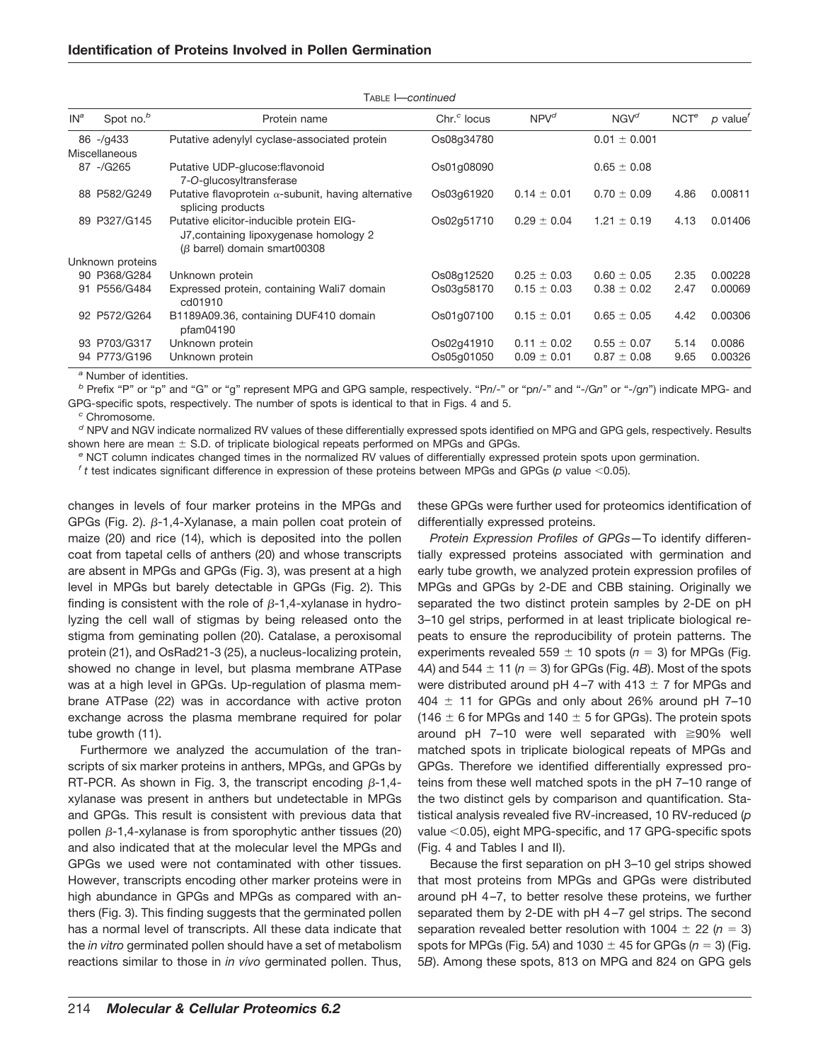| $IN^a$ | Spot no. <sup>b</sup> | Protein name                                                                                                             | Chr <sup>c</sup> locus | $NPV^d$         | $NGV^d$          | NCT <sup>e</sup> | $p$ value <sup><math>\prime</math></sup> |
|--------|-----------------------|--------------------------------------------------------------------------------------------------------------------------|------------------------|-----------------|------------------|------------------|------------------------------------------|
|        | $86 - q433$           | Putative adenylyl cyclase-associated protein                                                                             | Os08q34780             |                 | $0.01 \pm 0.001$ |                  |                                          |
|        | Miscellaneous         |                                                                                                                          |                        |                 |                  |                  |                                          |
|        | 87 -/G265             | Putative UDP-glucose: flavonoid<br>7-O-glucosyltransferase                                                               | Os01q08090             |                 | $0.65 \pm 0.08$  |                  |                                          |
|        | 88 P582/G249          | Putative flavoprotein $\alpha$ -subunit, having alternative<br>splicing products                                         | Os03q61920             | $0.14 \pm 0.01$ | $0.70 \pm 0.09$  | 4.86             | 0.00811                                  |
|        | 89 P327/G145          | Putative elicitor-inducible protein EIG-<br>J7, containing lipoxygenase homology 2<br>$(\beta$ barrel) domain smart00308 | Os02q51710             | $0.29 \pm 0.04$ | $1.21 \pm 0.19$  | 4.13             | 0.01406                                  |
|        | Unknown proteins      |                                                                                                                          |                        |                 |                  |                  |                                          |
|        | 90 P368/G284          | Unknown protein                                                                                                          | Os08q12520             | $0.25 \pm 0.03$ | $0.60 \pm 0.05$  | 2.35             | 0.00228                                  |
| 91     | P556/G484             | Expressed protein, containing Wali7 domain<br>cd01910                                                                    | Os03q58170             | $0.15 \pm 0.03$ | $0.38 \pm 0.02$  | 2.47             | 0.00069                                  |
|        | 92 P572/G264          | B1189A09.36, containing DUF410 domain<br>pfam04190                                                                       | Os01g07100             | $0.15 \pm 0.01$ | $0.65 \pm 0.05$  | 4.42             | 0.00306                                  |
|        | 93 P703/G317          | Unknown protein                                                                                                          | Os02q41910             | $0.11 \pm 0.02$ | $0.55 \pm 0.07$  | 5.14             | 0.0086                                   |
|        | 94 P773/G196          | Unknown protein                                                                                                          | Os05q01050             | $0.09 \pm 0.01$ | $0.87 \pm 0.08$  | 9.65             | 0.00326                                  |

TABLE I—*continued*

*<sup>a</sup>* Number of identities.

*<sup>b</sup>* Prefix "P" or "p" and "G" or "g" represent MPG and GPG sample, respectively. "P*n*/-" or "p*n*/-" and "-/G*n*" or "-/g*n*") indicate MPG- and GPG-specific spots, respectively. The number of spots is identical to that in Figs. 4 and 5.

*<sup>c</sup>* Chromosome.

*<sup>d</sup>* NPV and NGV indicate normalized RV values of these differentially expressed spots identified on MPG and GPG gels, respectively. Results shown here are mean  $\pm$  S.D. of triplicate biological repeats performed on MPGs and GPGs.

*<sup>e</sup>* NCT column indicates changed times in the normalized RV values of differentially expressed protein spots upon germination.

 $f$  t test indicates significant difference in expression of these proteins between MPGs and GPGs ( $p$  value <0.05).

changes in levels of four marker proteins in the MPGs and GPGs (Fig. 2).  $\beta$ -1,4-Xylanase, a main pollen coat protein of maize (20) and rice (14), which is deposited into the pollen coat from tapetal cells of anthers (20) and whose transcripts are absent in MPGs and GPGs (Fig. 3), was present at a high level in MPGs but barely detectable in GPGs (Fig. 2). This finding is consistent with the role of  $\beta$ -1,4-xylanase in hydrolyzing the cell wall of stigmas by being released onto the stigma from geminating pollen (20). Catalase, a peroxisomal protein (21), and OsRad21-3 (25), a nucleus-localizing protein, showed no change in level, but plasma membrane ATPase was at a high level in GPGs. Up-regulation of plasma membrane ATPase (22) was in accordance with active proton exchange across the plasma membrane required for polar tube growth (11).

Furthermore we analyzed the accumulation of the transcripts of six marker proteins in anthers, MPGs, and GPGs by RT-PCR. As shown in Fig. 3, the transcript encoding  $\beta$ -1,4xylanase was present in anthers but undetectable in MPGs and GPGs. This result is consistent with previous data that pollen  $\beta$ -1,4-xylanase is from sporophytic anther tissues (20) and also indicated that at the molecular level the MPGs and GPGs we used were not contaminated with other tissues. However, transcripts encoding other marker proteins were in high abundance in GPGs and MPGs as compared with anthers (Fig. 3). This finding suggests that the germinated pollen has a normal level of transcripts. All these data indicate that the *in vitro* germinated pollen should have a set of metabolism reactions similar to those in *in vivo* germinated pollen. Thus,

these GPGs were further used for proteomics identification of differentially expressed proteins.

*Protein Expression Profiles of GPGs—*To identify differentially expressed proteins associated with germination and early tube growth, we analyzed protein expression profiles of MPGs and GPGs by 2-DE and CBB staining. Originally we separated the two distinct protein samples by 2-DE on pH 3–10 gel strips, performed in at least triplicate biological repeats to ensure the reproducibility of protein patterns. The experiments revealed  $559 \pm 10$  spots ( $n = 3$ ) for MPGs (Fig. 4*A*) and 544  $\pm$  11 ( $n = 3$ ) for GPGs (Fig. 4*B*). Most of the spots were distributed around pH 4-7 with 413  $\pm$  7 for MPGs and  $404 \pm 11$  for GPGs and only about 26% around pH 7-10 (146  $\pm$  6 for MPGs and 140  $\pm$  5 for GPGs). The protein spots around pH 7-10 were well separated with  $\geq 90\%$  well matched spots in triplicate biological repeats of MPGs and GPGs. Therefore we identified differentially expressed proteins from these well matched spots in the pH 7–10 range of the two distinct gels by comparison and quantification. Statistical analysis revealed five RV-increased, 10 RV-reduced (*p* value <0.05), eight MPG-specific, and 17 GPG-specific spots (Fig. 4 and Tables I and II).

Because the first separation on pH 3–10 gel strips showed that most proteins from MPGs and GPGs were distributed around pH 4 –7, to better resolve these proteins, we further separated them by 2-DE with pH 4-7 gel strips. The second separation revealed better resolution with  $1004 \pm 22$  ( $n = 3$ ) spots for MPGs (Fig. 5A) and  $1030 \pm 45$  for GPGs ( $n = 3$ ) (Fig. 5*B*). Among these spots, 813 on MPG and 824 on GPG gels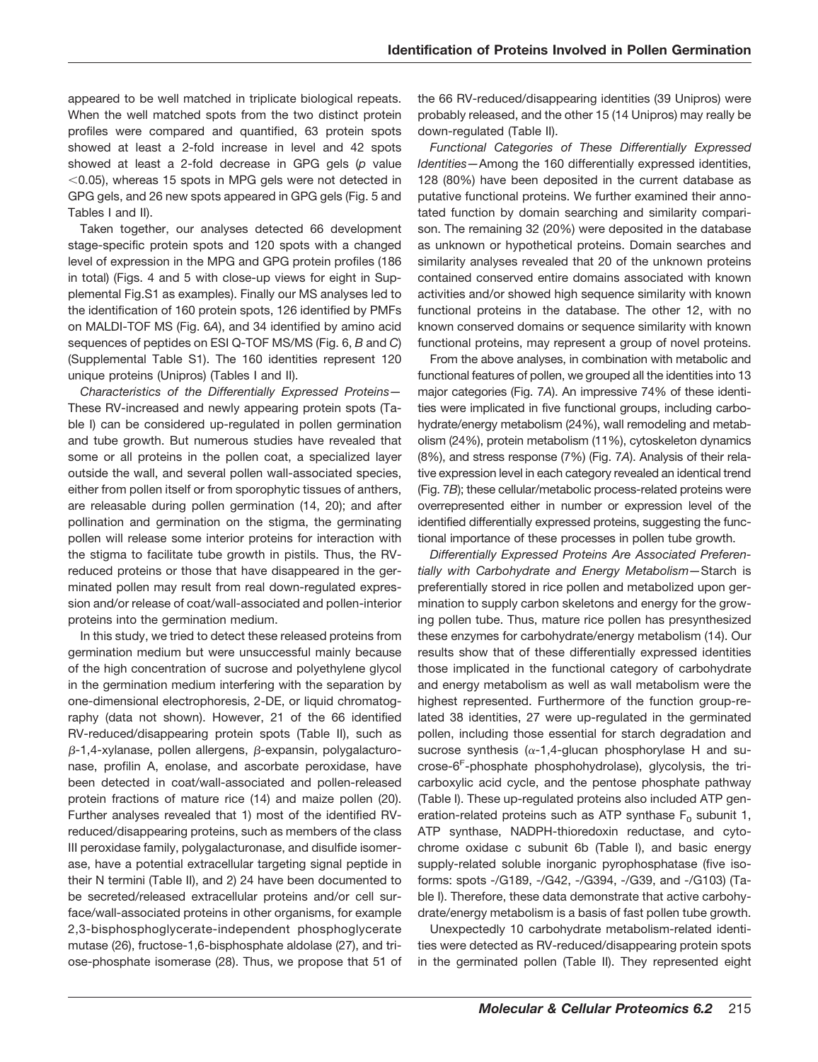appeared to be well matched in triplicate biological repeats. When the well matched spots from the two distinct protein profiles were compared and quantified, 63 protein spots showed at least a 2-fold increase in level and 42 spots showed at least a 2-fold decrease in GPG gels (*p* value  $<$  0.05), whereas 15 spots in MPG gels were not detected in GPG gels, and 26 new spots appeared in GPG gels (Fig. 5 and Tables I and II).

Taken together, our analyses detected 66 development stage-specific protein spots and 120 spots with a changed level of expression in the MPG and GPG protein profiles (186 in total) (Figs. 4 and 5 with close-up views for eight in Supplemental Fig.S1 as examples). Finally our MS analyses led to the identification of 160 protein spots, 126 identified by PMFs on MALDI-TOF MS (Fig. 6*A*), and 34 identified by amino acid sequences of peptides on ESI Q-TOF MS/MS (Fig. 6, *B* and *C*) (Supplemental Table S1). The 160 identities represent 120 unique proteins (Unipros) (Tables I and II).

*Characteristics of the Differentially Expressed Proteins—* These RV-increased and newly appearing protein spots (Table I) can be considered up-regulated in pollen germination and tube growth. But numerous studies have revealed that some or all proteins in the pollen coat, a specialized layer outside the wall, and several pollen wall-associated species, either from pollen itself or from sporophytic tissues of anthers, are releasable during pollen germination (14, 20); and after pollination and germination on the stigma, the germinating pollen will release some interior proteins for interaction with the stigma to facilitate tube growth in pistils. Thus, the RVreduced proteins or those that have disappeared in the germinated pollen may result from real down-regulated expression and/or release of coat/wall-associated and pollen-interior proteins into the germination medium.

In this study, we tried to detect these released proteins from germination medium but were unsuccessful mainly because of the high concentration of sucrose and polyethylene glycol in the germination medium interfering with the separation by one-dimensional electrophoresis, 2-DE, or liquid chromatography (data not shown). However, 21 of the 66 identified RV-reduced/disappearing protein spots (Table II), such as  $\beta$ -1,4-xylanase, pollen allergens,  $\beta$ -expansin, polygalacturonase, profilin A, enolase, and ascorbate peroxidase, have been detected in coat/wall-associated and pollen-released protein fractions of mature rice (14) and maize pollen (20). Further analyses revealed that 1) most of the identified RVreduced/disappearing proteins, such as members of the class III peroxidase family, polygalacturonase, and disulfide isomerase, have a potential extracellular targeting signal peptide in their N termini (Table II), and 2) 24 have been documented to be secreted/released extracellular proteins and/or cell surface/wall-associated proteins in other organisms, for example 2,3-bisphosphoglycerate-independent phosphoglycerate mutase (26), fructose-1,6-bisphosphate aldolase (27), and triose-phosphate isomerase (28). Thus, we propose that 51 of the 66 RV-reduced/disappearing identities (39 Unipros) were probably released, and the other 15 (14 Unipros) may really be down-regulated (Table II).

*Functional Categories of These Differentially Expressed Identities—*Among the 160 differentially expressed identities, 128 (80%) have been deposited in the current database as putative functional proteins. We further examined their annotated function by domain searching and similarity comparison. The remaining 32 (20%) were deposited in the database as unknown or hypothetical proteins. Domain searches and similarity analyses revealed that 20 of the unknown proteins contained conserved entire domains associated with known activities and/or showed high sequence similarity with known functional proteins in the database. The other 12, with no known conserved domains or sequence similarity with known functional proteins, may represent a group of novel proteins.

From the above analyses, in combination with metabolic and functional features of pollen, we grouped all the identities into 13 major categories (Fig. 7*A*). An impressive 74% of these identities were implicated in five functional groups, including carbohydrate/energy metabolism (24%), wall remodeling and metabolism (24%), protein metabolism (11%), cytoskeleton dynamics (8%), and stress response (7%) (Fig. 7*A*). Analysis of their relative expression level in each category revealed an identical trend (Fig. 7*B*); these cellular/metabolic process-related proteins were overrepresented either in number or expression level of the identified differentially expressed proteins, suggesting the functional importance of these processes in pollen tube growth.

*Differentially Expressed Proteins Are Associated Preferentially with Carbohydrate and Energy Metabolism—*Starch is preferentially stored in rice pollen and metabolized upon germination to supply carbon skeletons and energy for the growing pollen tube. Thus, mature rice pollen has presynthesized these enzymes for carbohydrate/energy metabolism (14). Our results show that of these differentially expressed identities those implicated in the functional category of carbohydrate and energy metabolism as well as wall metabolism were the highest represented. Furthermore of the function group-related 38 identities, 27 were up-regulated in the germinated pollen, including those essential for starch degradation and sucrose synthesis ( $\alpha$ -1,4-glucan phosphorylase H and sucrose-6<sup>F</sup>-phosphate phosphohydrolase), glycolysis, the tricarboxylic acid cycle, and the pentose phosphate pathway (Table I). These up-regulated proteins also included ATP generation-related proteins such as ATP synthase  $F_0$  subunit 1, ATP synthase, NADPH-thioredoxin reductase, and cytochrome oxidase c subunit 6b (Table I), and basic energy supply-related soluble inorganic pyrophosphatase (five isoforms: spots -/G189, -/G42, -/G394, -/G39, and -/G103) (Table I). Therefore, these data demonstrate that active carbohydrate/energy metabolism is a basis of fast pollen tube growth.

Unexpectedly 10 carbohydrate metabolism-related identities were detected as RV-reduced/disappearing protein spots in the germinated pollen (Table II). They represented eight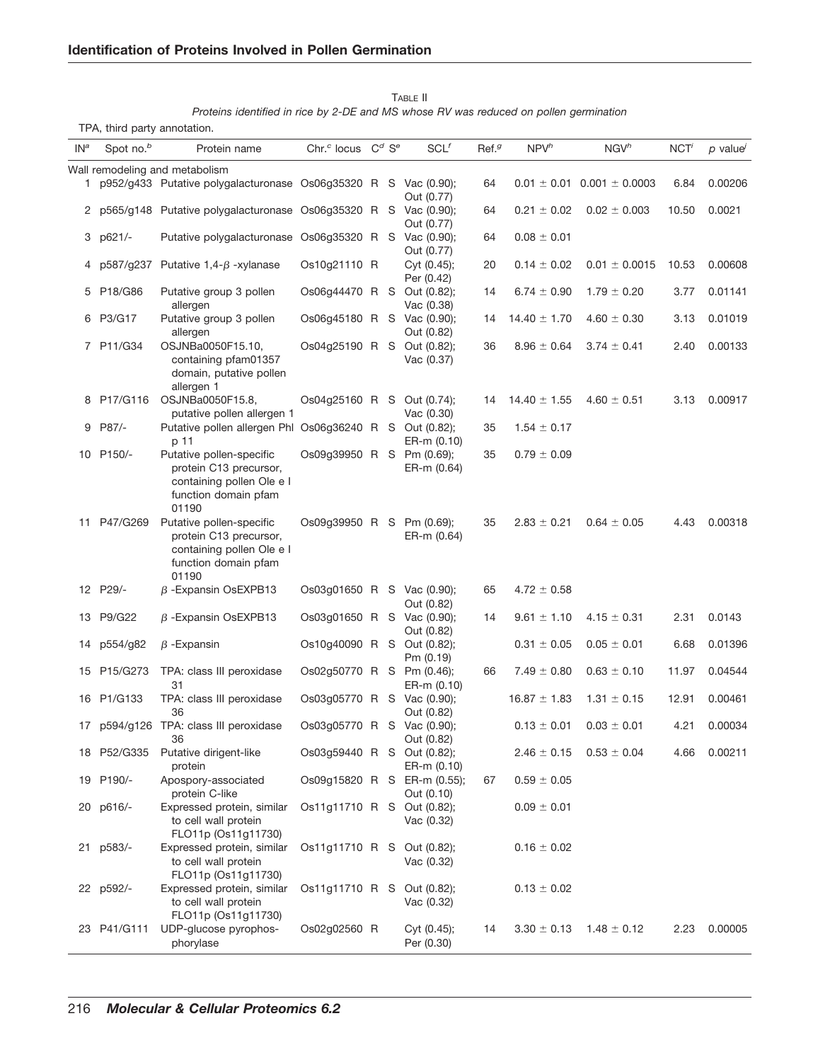TPA, third party annotation.

| IN <sup>a</sup> | Spot no. <sup>b</sup> | Protein name                                                                                                     | Chr. <sup>c</sup> locus     | $C^d$ S <sup>e</sup> | $SCL$ <sup><math>f</math></sup> | Ref. <sup>g</sup> | NPV <sup>h</sup> | NGV <sup>h</sup>                   | NCT'  | $p$ value |
|-----------------|-----------------------|------------------------------------------------------------------------------------------------------------------|-----------------------------|----------------------|---------------------------------|-------------------|------------------|------------------------------------|-------|-----------|
|                 |                       | Wall remodeling and metabolism                                                                                   |                             |                      |                                 |                   |                  |                                    |       |           |
| 1.              |                       | p952/g433 Putative polygalacturonase Os06g35320 R S Vac (0.90);                                                  |                             |                      | Out (0.77)                      | 64                |                  | $0.01 \pm 0.01$ 0.001 $\pm$ 0.0003 | 6.84  | 0.00206   |
|                 |                       | 2 p565/g148 Putative polygalacturonase Os06g35320 R S Vac (0.90);                                                |                             |                      | Out (0.77)                      | 64                | $0.21 \pm 0.02$  | $0.02 \pm 0.003$                   | 10.50 | 0.0021    |
| 3               | p621/-                | Putative polygalacturonase Os06g35320 R S Vac (0.90);                                                            |                             |                      | Out (0.77)                      | 64                | $0.08 \pm 0.01$  |                                    |       |           |
| 4               |                       | $p587/q237$ Putative 1,4- $\beta$ -xylanase                                                                      | Os10g21110 R                |                      | Cyt (0.45);<br>Per (0.42)       | 20                | $0.14 \pm 0.02$  | $0.01 \pm 0.0015$                  | 10.53 | 0.00608   |
| 5               | P18/G86               | Putative group 3 pollen<br>allergen                                                                              | Os06g44470 R S Out (0.82);  |                      | Vac (0.38)                      | 14                | $6.74 \pm 0.90$  | $1.79 \pm 0.20$                    | 3.77  | 0.01141   |
|                 | 6 P3/G17              | Putative group 3 pollen<br>allergen                                                                              | Os06g45180 R S Vac (0.90);  |                      | Out (0.82)                      | 14                | $14.40 \pm 1.70$ | $4.60 \pm 0.30$                    | 3.13  | 0.01019   |
|                 | 7 P11/G34             | OSJNBa0050F15.10,<br>containing pfam01357<br>domain, putative pollen<br>allergen 1                               | Os04g25190 R S Out (0.82);  |                      | Vac (0.37)                      | 36                | $8.96 \pm 0.64$  | $3.74 \pm 0.41$                    | 2.40  | 0.00133   |
|                 | 8 P17/G116            | OSJNBa0050F15.8,<br>putative pollen allergen 1                                                                   | Os04q25160 R S Out (0.74);  |                      | Vac (0.30)                      | 14                | $14.40 \pm 1.55$ | $4.60 \pm 0.51$                    | 3.13  | 0.00917   |
| 9               | P87/-                 | Putative pollen allergen Phl Os06g36240 R S Out (0.82);<br>p 11                                                  |                             |                      | ER-m (0.10)                     | 35                | $1.54 \pm 0.17$  |                                    |       |           |
|                 | 10 P150/-             | Putative pollen-specific<br>protein C13 precursor,<br>containing pollen Ole e I<br>function domain pfam<br>01190 | Os09g39950 R S Pm (0.69);   |                      | ER-m (0.64)                     | 35                | $0.79 \pm 0.09$  |                                    |       |           |
|                 | 11 P47/G269           | Putative pollen-specific<br>protein C13 precursor,<br>containing pollen Ole e I<br>function domain pfam<br>01190 | Os09g39950 R S Pm (0.69);   |                      | ER-m (0.64)                     | 35                | $2.83 \pm 0.21$  | $0.64 \pm 0.05$                    | 4.43  | 0.00318   |
|                 | 12 P29/-              | $\beta$ -Expansin OsEXPB13                                                                                       | Os03g01650 R S Vac (0.90);  |                      | Out (0.82)                      | 65                | $4.72 \pm 0.58$  |                                    |       |           |
|                 | 13 P9/G22             | $\beta$ -Expansin OsEXPB13                                                                                       | Os03g01650 R S Vac (0.90);  |                      | Out (0.82)                      | 14                | $9.61 \pm 1.10$  | $4.15 \pm 0.31$                    | 2.31  | 0.0143    |
| 14              | p554/g82              | $\beta$ -Expansin                                                                                                | Os10g40090 R S Out (0.82);  |                      | Pm (0.19)                       |                   | $0.31 \pm 0.05$  | $0.05 \pm 0.01$                    | 6.68  | 0.01396   |
| 15              | P15/G273              | TPA: class III peroxidase<br>31                                                                                  | Os02g50770 R S Pm (0.46);   |                      | ER-m (0.10)                     | 66                | $7.49 \pm 0.80$  | $0.63 \pm 0.10$                    | 11.97 | 0.04544   |
|                 | 16 P1/G133            | TPA: class III peroxidase<br>36                                                                                  | Os03g05770 R S Vac (0.90);  |                      | Out (0.82)                      |                   | $16.87 \pm 1.83$ | $1.31 \pm 0.15$                    | 12.91 | 0.00461   |
| 17              |                       | p594/g126 TPA: class III peroxidase<br>36                                                                        | Os03g05770 R S Vac (0.90);  |                      | Out (0.82)                      |                   | $0.13 \pm 0.01$  | $0.03 \pm 0.01$                    | 4.21  | 0.00034   |
|                 | 18 P52/G335           | Putative dirigent-like<br>protein                                                                                | Os03g59440 R S Out (0.82);  |                      | ER-m (0.10)                     |                   | $2.46 \pm 0.15$  | $0.53 \pm 0.04$                    | 4.66  | 0.00211   |
|                 | 19 P190/-             | Apospory-associated<br>protein C-like                                                                            | Os09g15820 R S ER-m (0.55); |                      | Out (0.10)                      | 67                | $0.59 \pm 0.05$  |                                    |       |           |
| 20              | p616/-                | Expressed protein, similar<br>to cell wall protein<br>FLO11p (Os11g11730)                                        | Os11g11710 R S Out (0.82);  |                      | Vac (0.32)                      |                   | $0.09 \pm 0.01$  |                                    |       |           |
| 21              | p583/-                | Expressed protein, similar<br>to cell wall protein<br>FLO11p (Os11g11730)                                        | Os11g11710 R S Out (0.82);  |                      | Vac $(0.32)$                    |                   | $0.16 \pm 0.02$  |                                    |       |           |
|                 | 22 p592/-             | Expressed protein, similar<br>to cell wall protein<br>FLO11p (Os11g11730)                                        | Os11g11710 R S              |                      | Out (0.82);<br>Vac (0.32)       |                   | $0.13 \pm 0.02$  |                                    |       |           |
|                 | 23 P41/G111           | UDP-glucose pyrophos-<br>phorylase                                                                               | Os02g02560 R                |                      | Cyt (0.45);<br>Per (0.30)       | 14                | $3.30 \pm 0.13$  | $1.48 \pm 0.12$                    | 2.23  | 0.00005   |

TABLE II *Proteins identified in rice by 2-DE and MS whose RV was reduced on pollen germination*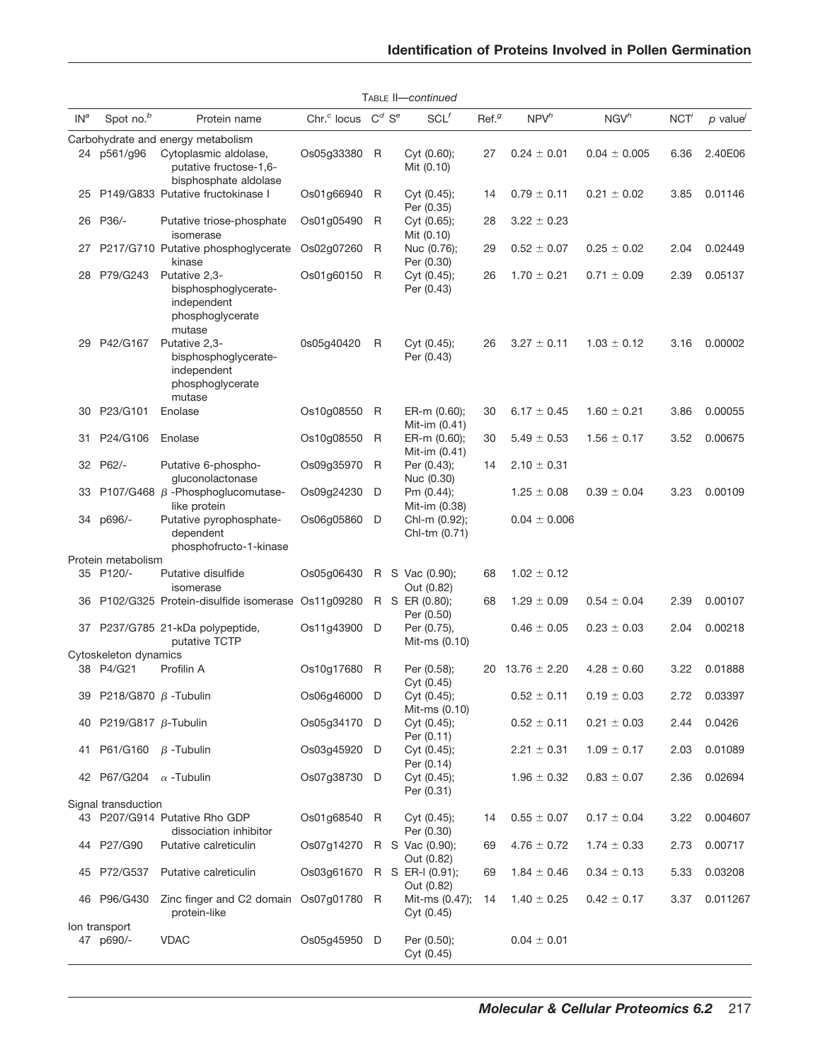|        |                                    |                                                                                    |                                     |   | TABLE II-continued             |                   |                  |                   |      |           |
|--------|------------------------------------|------------------------------------------------------------------------------------|-------------------------------------|---|--------------------------------|-------------------|------------------|-------------------|------|-----------|
| $IN^a$ | Spot no. <sup>b</sup>              | Protein name                                                                       | Chr. $c$ locus $C^d$ S <sup>e</sup> |   | SCL                            | Ref. <sup>g</sup> | NPV <sup>h</sup> | NGV <sup>h</sup>  | NCT' | $p$ value |
|        |                                    | Carbohydrate and energy metabolism                                                 |                                     |   |                                |                   |                  |                   |      |           |
| 24     | p561/g96                           | Cytoplasmic aldolase,<br>putative fructose-1,6-<br>bisphosphate aldolase           | Os05g33380                          | R | Cyt (0.60);<br>Mit (0.10)      | 27                | $0.24 \pm 0.01$  | $0.04 \pm 0.005$  | 6.36 | 2.40E06   |
| 25     |                                    | P149/G833 Putative fructokinase I                                                  | Os01g66940                          | R | Cyt (0.45);<br>Per (0.35)      | 14                | $0.79 \pm 0.11$  | $0.21 \pm 0.02$   | 3.85 | 0.01146   |
| 26     | P36/-                              | Putative triose-phosphate<br>isomerase                                             | Os01g05490                          | R | Cyt (0.65);<br>Mit (0.10)      | 28                | $3.22 \pm 0.23$  |                   |      |           |
| 27     |                                    | P217/G710 Putative phosphoglycerate<br>kinase                                      | Os02g07260                          | R | Nuc (0.76);<br>Per (0.30)      | 29                | $0.52 \pm 0.07$  | $0.25 \pm 0.02$   | 2.04 | 0.02449   |
| 28     | P79/G243                           | Putative 2.3-<br>bisphosphoglycerate-<br>independent<br>phosphoglycerate<br>mutase | Os01g60150                          | R | Cyt (0.45);<br>Per (0.43)      | 26                | $1.70 \pm 0.21$  | $0.71 \pm 0.09$   | 2.39 | 0.05137   |
| 29     | P42/G167                           | Putative 2,3-<br>bisphosphoglycerate-<br>independent<br>phosphoglycerate<br>mutase | 0s05g40420                          | R | Cyt (0.45);<br>Per (0.43)      | 26                | $3.27 \pm 0.11$  | $1.03 \pm 0.12$   | 3.16 | 0.00002   |
| 30     | P23/G101                           | Enolase                                                                            | Os10g08550                          | R | ER-m (0.60);<br>Mit-im (0.41)  | 30                | $6.17 \pm 0.45$  | $1.60 \pm 0.21$   | 3.86 | 0.00055   |
| 31     | P24/G106                           | Enolase                                                                            | Os10g08550                          | R | ER-m (0.60);<br>Mit-im (0.41)  | 30                | $5.49 \pm 0.53$  | $1.56 \pm 0.17$   | 3.52 | 0.00675   |
| 32     | P62/-                              | Putative 6-phospho-<br>gluconolactonase                                            | Os09g35970                          | R | Per (0.43);<br>Nuc (0.30)      | 14                | $2.10 \pm 0.31$  |                   |      |           |
| 33     |                                    | P107/G468 $\beta$ -Phosphoglucomutase-<br>like protein                             | Os09g24230                          | D | Pm (0.44);<br>Mit-im (0.38)    |                   | $1.25 \pm 0.08$  | $0.39 \pm 0.04$   | 3.23 | 0.00109   |
| 34     | p696/-                             | Putative pyrophosphate-<br>dependent<br>phosphofructo-1-kinase                     | Os06g05860                          | D | Chl-m (0.92);<br>Chl-tm (0.71) |                   | $0.04 \pm 0.006$ |                   |      |           |
|        | Protein metabolism                 |                                                                                    |                                     |   |                                |                   |                  |                   |      |           |
|        | 35 P120/-                          | Putative disulfide<br>isomerase                                                    | Os05g06430                          |   | R S Vac (0.90);<br>Out (0.82)  | 68                | $1.02 \pm 0.12$  |                   |      |           |
| 36     |                                    | P102/G325 Protein-disulfide isomerase Os11g09280                                   |                                     |   | R S ER (0.80);<br>Per (0.50)   | 68                | $1.29 \pm 0.09$  | $0.54 \pm 0.04$   | 2.39 | 0.00107   |
| 37     |                                    | P237/G785 21-kDa polypeptide,<br>putative TCTP                                     | Os11q43900                          | D | Per (0.75),<br>Mit-ms (0.10)   |                   | $0.46 \pm 0.05$  | $0.23 \pm 0.03$   | 2.04 | 0.00218   |
|        | Cytoskeleton dynamics<br>38 P4/G21 | Profilin A                                                                         | Os10g17680                          | R | Per (0.58);<br>Cyt (0.45)      | 20                | $13.76 \pm 2.20$ | $4.28 \pm 0.60$   | 3.22 | 0.01888   |
| 39     | P218/G870 $\beta$ -Tubulin         |                                                                                    | Os06g46000                          | D | Cyt (0.45);<br>Mit-ms (0.10)   |                   | $0.52 \pm 0.11$  | $0.19 \pm 0.03$   | 2.72 | 0.03397   |
|        | 40 P219/G817 β-Tubulin             |                                                                                    | Os05g34170 D                        |   | Cyt (0.45);<br>Per (0.11)      |                   | $0.52 \pm 0.11$  | $0.21 \pm 0.03$   | 2.44 | 0.0426    |
| 41     | P61/G160                           | $\beta$ -Tubulin                                                                   | Os03g45920                          | D | Cyt (0.45);<br>Per (0.14)      |                   | $2.21 \pm 0.31$  | $1.09\,\pm\,0.17$ | 2.03 | 0.01089   |
|        | 42 P67/G204 $\alpha$ -Tubulin      |                                                                                    | Os07q38730 D                        |   | Cyt $(0.45)$ ;<br>Per (0.31)   |                   | $1.96 \pm 0.32$  | $0.83 \pm 0.07$   | 2.36 | 0.02694   |
|        | Signal transduction                |                                                                                    |                                     |   |                                |                   |                  |                   |      |           |
|        |                                    | 43 P207/G914 Putative Rho GDP<br>dissociation inhibitor                            | Os01g68540 R                        |   | Cyt (0.45);<br>Per (0.30)      | 14                | $0.55 \pm 0.07$  | $0.17 \pm 0.04$   | 3.22 | 0.004607  |
|        | 44 P27/G90                         | Putative calreticulin                                                              | Os07g14270                          |   | R S Vac (0.90);<br>Out (0.82)  | 69                | $4.76 \pm 0.72$  | $1.74 \pm 0.33$   | 2.73 | 0.00717   |
| 45     | P72/G537                           | Putative calreticulin                                                              | Os03g61670                          |   | R S ER-I (0.91);<br>Out (0.82) | 69                | $1.84 \pm 0.46$  | $0.34 \pm 0.13$   | 5.33 | 0.03208   |
| 46     | P96/G430                           | Zinc finger and C2 domain Os07g01780 R<br>protein-like                             |                                     |   | Mit-ms (0.47);<br>Cyt (0.45)   | 14                | $1.40 \pm 0.25$  | $0.42 \pm 0.17$   | 3.37 | 0.011267  |
|        | Ion transport<br>47 p690/-         | <b>VDAC</b>                                                                        | Os05g45950 D                        |   | Per (0.50);<br>Cyt (0.45)      |                   | $0.04 \pm 0.01$  |                   |      |           |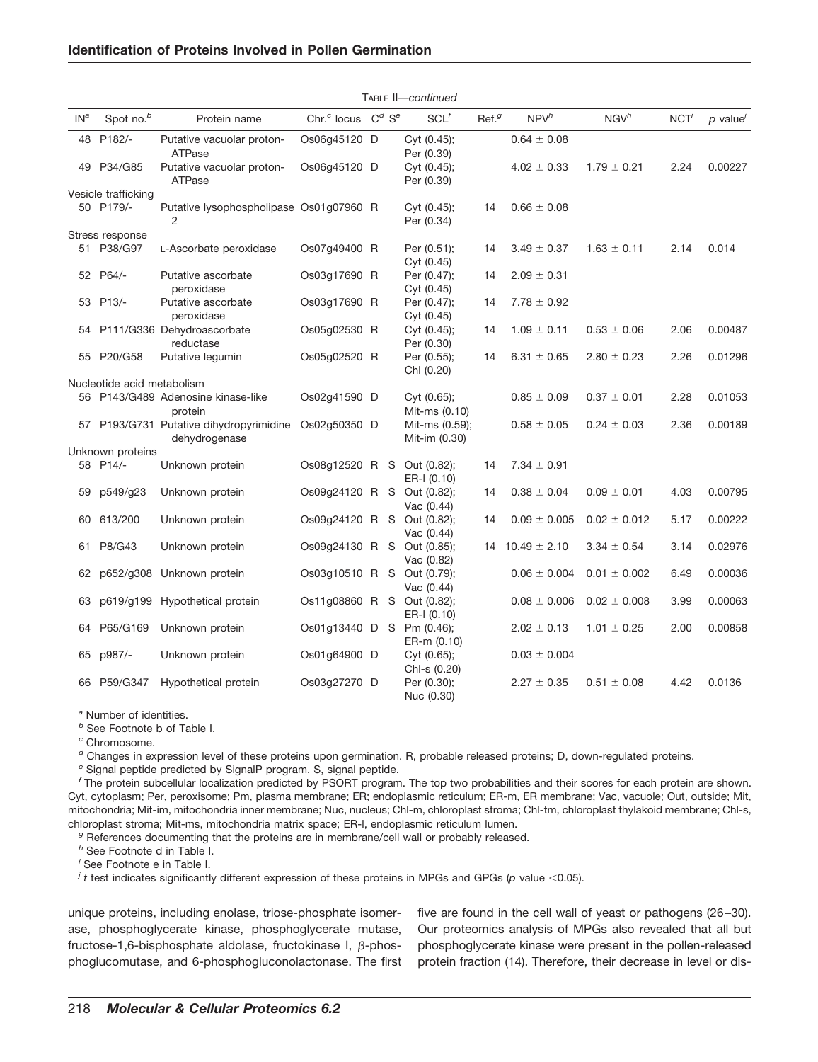## **Identification of Proteins Involved in Pollen Germination**

|                 |                            |                                                           |                            |                      | TABLE II—continued              |                   |                  |                  |      |           |
|-----------------|----------------------------|-----------------------------------------------------------|----------------------------|----------------------|---------------------------------|-------------------|------------------|------------------|------|-----------|
| IN <sup>a</sup> | Spot no. <sup>b</sup>      | Protein name                                              | Chr. <sup>c</sup> locus    | $C^d$ S <sup>e</sup> | $SCL$ <sup>f</sup>              | Ref. <sup>g</sup> | NPV <sup>h</sup> | NGV <sup>h</sup> | NCT' | $p$ value |
|                 | 48 P182/-                  | Putative vacuolar proton-<br>ATPase                       | Os06q45120 D               |                      | Cyt (0.45);<br>Per (0.39)       |                   | $0.64 \pm 0.08$  |                  |      |           |
| 49              | P34/G85                    | Putative vacuolar proton-<br>ATPase                       | Os06q45120 D               |                      | Cyt (0.45);<br>Per (0.39)       |                   | $4.02 \pm 0.33$  | $1.79 \pm 0.21$  | 2.24 | 0.00227   |
|                 | Vesicle trafficking        |                                                           |                            |                      |                                 |                   |                  |                  |      |           |
|                 | 50 P179/-                  | Putative lysophospholipase Os01q07960 R<br>$\overline{2}$ |                            |                      | Cyt (0.45);<br>Per (0.34)       | 14                | $0.66 \pm 0.08$  |                  |      |           |
|                 | Stress response            |                                                           |                            |                      |                                 |                   |                  |                  |      |           |
|                 | 51 P38/G97                 | L-Ascorbate peroxidase                                    | Os07q49400 R               |                      | Per (0.51);<br>Cyt (0.45)       | 14                | $3.49 \pm 0.37$  | $1.63 \pm 0.11$  | 2.14 | 0.014     |
|                 | 52 P64/-                   | Putative ascorbate<br>peroxidase                          | Os03g17690 R               |                      | Per (0.47);<br>Cyt (0.45)       | 14                | $2.09 \pm 0.31$  |                  |      |           |
|                 | 53 P13/-                   | Putative ascorbate<br>peroxidase                          | Os03g17690 R               |                      | Per (0.47);<br>Cyt (0.45)       | 14                | $7.78 \pm 0.92$  |                  |      |           |
| 54              |                            | P111/G336 Dehydroascorbate<br>reductase                   | Os05g02530 R               |                      | Cyt (0.45);<br>Per (0.30)       | 14                | $1.09 \pm 0.11$  | $0.53 \pm 0.06$  | 2.06 | 0.00487   |
|                 | 55 P20/G58                 | Putative legumin                                          | Os05g02520 R               |                      | Per (0.55);<br>Chl (0.20)       | 14                | $6.31 \pm 0.65$  | $2.80 \pm 0.23$  | 2.26 | 0.01296   |
|                 | Nucleotide acid metabolism |                                                           |                            |                      |                                 |                   |                  |                  |      |           |
|                 |                            | 56 P143/G489 Adenosine kinase-like<br>protein             | Os02q41590 D               |                      | Cyt (0.65);<br>Mit-ms (0.10)    |                   | $0.85 \pm 0.09$  | $0.37 \pm 0.01$  | 2.28 | 0.01053   |
|                 |                            | 57 P193/G731 Putative dihydropyrimidine<br>dehydrogenase  | Os02g50350 D               |                      | Mit-ms (0.59);<br>Mit-im (0.30) |                   | $0.58 \pm 0.05$  | $0.24 \pm 0.03$  | 2.36 | 0.00189   |
|                 | Unknown proteins           |                                                           |                            |                      |                                 |                   |                  |                  |      |           |
|                 | 58 P14/-                   | Unknown protein                                           | Os08q12520 R S             |                      | Out (0.82);<br>ER-I (0.10)      | 14                | $7.34 \pm 0.91$  |                  |      |           |
| 59              | p549/g23                   | Unknown protein                                           | Os09q24120 R S             |                      | Out (0.82);<br>Vac $(0.44)$     | 14                | $0.38 \pm 0.04$  | $0.09 \pm 0.01$  | 4.03 | 0.00795   |
| 60              | 613/200                    | Unknown protein                                           | Os09q24120 R S Out (0.82); |                      | Vac $(0.44)$                    | 14                | $0.09 \pm 0.005$ | $0.02 \pm 0.012$ | 5.17 | 0.00222   |
| 61              | P8/G43                     | Unknown protein                                           | Os09g24130 R S             |                      | Out (0.85);<br>Vac (0.82)       | 14                | $10.49 \pm 2.10$ | $3.34 \pm 0.54$  | 3.14 | 0.02976   |
| 62              |                            | p652/g308 Unknown protein                                 | Os03q10510 R S             |                      | Out (0.79);<br>Vac $(0.44)$     |                   | $0.06 \pm 0.004$ | $0.01 \pm 0.002$ | 6.49 | 0.00036   |
| 63              |                            | p619/g199 Hypothetical protein                            | Os11g08860 R S Out (0.82); |                      | ER-I (0.10)                     |                   | $0.08 \pm 0.006$ | $0.02 \pm 0.008$ | 3.99 | 0.00063   |
| 64              | P65/G169                   | Unknown protein                                           | Os01g13440 D S Pm (0.46);  |                      | ER-m (0.10)                     |                   | $2.02 \pm 0.13$  | $1.01 \pm 0.25$  | 2.00 | 0.00858   |
| 65              | p987/-                     | Unknown protein                                           | Os01g64900 D               |                      | Cyt $(0.65)$ ;<br>Chl-s (0.20)  |                   | $0.03 \pm 0.004$ |                  |      |           |
|                 | 66 P59/G347                | Hypothetical protein                                      | Os03g27270 D               |                      | Per (0.30);<br>Nuc (0.30)       |                   | $2.27 \pm 0.35$  | $0.51 \pm 0.08$  | 4.42 | 0.0136    |

*<sup>a</sup>* Number of identities.

*<sup>b</sup>* See Footnote b of Table I.

*<sup>c</sup>* Chromosome.

*<sup>d</sup>* Changes in expression level of these proteins upon germination. R, probable released proteins; D, down-regulated proteins.

*<sup>e</sup>* Signal peptide predicted by SignalP program. S, signal peptide.

*<sup>f</sup>* The protein subcellular localization predicted by PSORT program. The top two probabilities and their scores for each protein are shown. Cyt, cytoplasm; Per, peroxisome; Pm, plasma membrane; ER; endoplasmic reticulum; ER-m, ER membrane; Vac, vacuole; Out, outside; Mit, mitochondria; Mit-im, mitochondria inner membrane; Nuc, nucleus; Chl-m, chloroplast stroma; Chl-tm, chloroplast thylakoid membrane; Chl-s, chloroplast stroma; Mit-ms, mitochondria matrix space; ER-l, endoplasmic reticulum lumen.

*<sup>g</sup>* References documenting that the proteins are in membrane/cell wall or probably released.

*<sup>h</sup>* See Footnote d in Table I.

*i* See Footnote e in Table I.

*j t* test indicates significantly different expression of these proteins in MPGs and GPGs (*p* value <0.05).

unique proteins, including enolase, triose-phosphate isomerase, phosphoglycerate kinase, phosphoglycerate mutase, fructose-1,6-bisphosphate aldolase, fructokinase I,  $\beta$ -phosphoglucomutase, and 6-phosphogluconolactonase. The first five are found in the cell wall of yeast or pathogens (26 –30). Our proteomics analysis of MPGs also revealed that all but phosphoglycerate kinase were present in the pollen-released protein fraction (14). Therefore, their decrease in level or dis-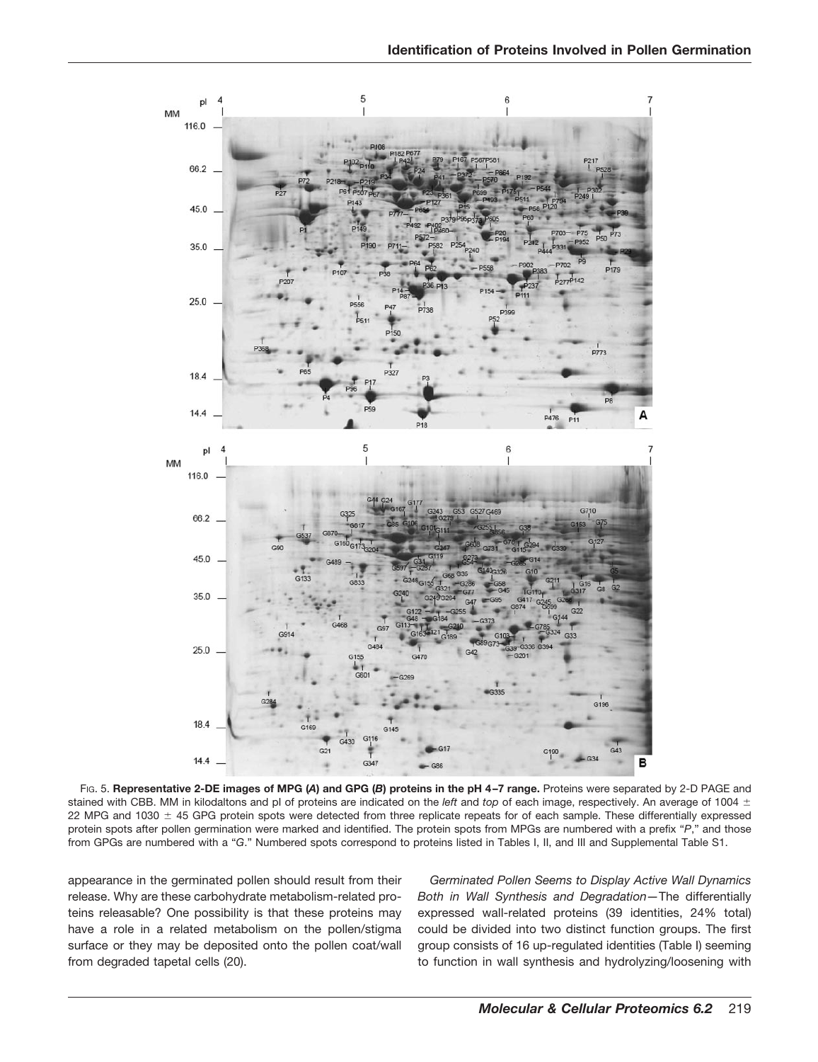

FIG. 5. **Representative 2-DE images of MPG (***A***) and GPG (***B***) proteins in the pH 4 –7 range.** Proteins were separated by 2-D PAGE and stained with CBB. MM in kilodaltons and pI of proteins are indicated on the *left* and *top* of each image, respectively. An average of 1004 22 MPG and 1030  $\pm$  45 GPG protein spots were detected from three replicate repeats for of each sample. These differentially expressed protein spots after pollen germination were marked and identified. The protein spots from MPGs are numbered with a prefix "*P*," and those from GPGs are numbered with a "*G*." Numbered spots correspond to proteins listed in Tables I, II, and III and Supplemental Table S1.

appearance in the germinated pollen should result from their release. Why are these carbohydrate metabolism-related proteins releasable? One possibility is that these proteins may have a role in a related metabolism on the pollen/stigma surface or they may be deposited onto the pollen coat/wall from degraded tapetal cells (20).

*Germinated Pollen Seems to Display Active Wall Dynamics Both in Wall Synthesis and Degradation—*The differentially expressed wall-related proteins (39 identities, 24% total) could be divided into two distinct function groups. The first group consists of 16 up-regulated identities (Table I) seeming to function in wall synthesis and hydrolyzing/loosening with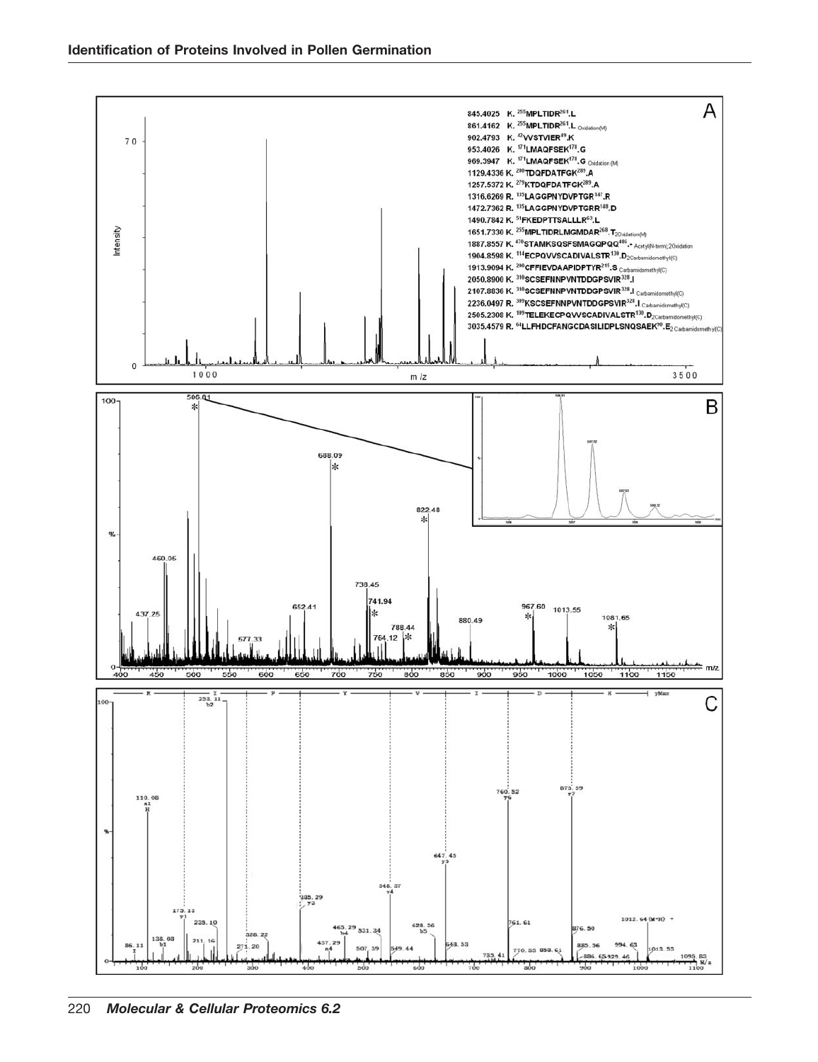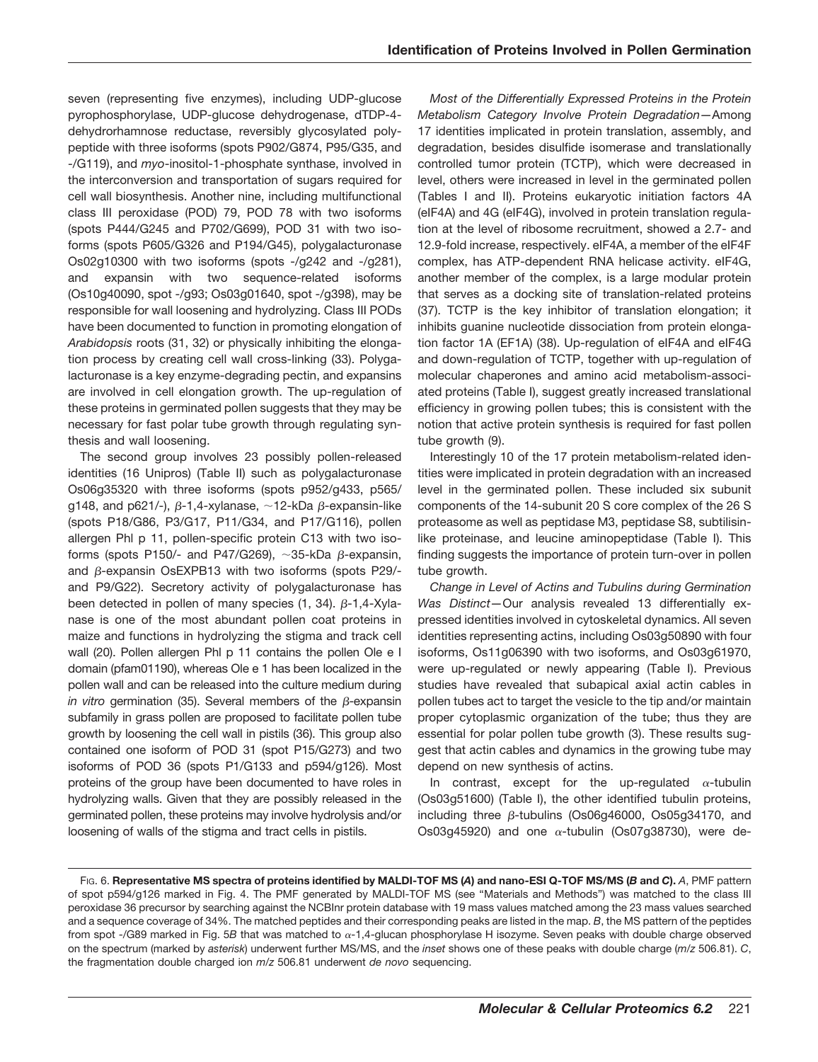seven (representing five enzymes), including UDP-glucose pyrophosphorylase, UDP-glucose dehydrogenase, dTDP-4 dehydrorhamnose reductase, reversibly glycosylated polypeptide with three isoforms (spots P902/G874, P95/G35, and -/G119), and *myo*-inositol-1-phosphate synthase, involved in the interconversion and transportation of sugars required for cell wall biosynthesis. Another nine, including multifunctional class III peroxidase (POD) 79, POD 78 with two isoforms (spots P444/G245 and P702/G699), POD 31 with two isoforms (spots P605/G326 and P194/G45), polygalacturonase Os02g10300 with two isoforms (spots -/g242 and -/g281), and expansin with two sequence-related isoforms (Os10g40090, spot -/g93; Os03g01640, spot -/g398), may be responsible for wall loosening and hydrolyzing. Class III PODs have been documented to function in promoting elongation of *Arabidopsis* roots (31, 32) or physically inhibiting the elongation process by creating cell wall cross-linking (33). Polygalacturonase is a key enzyme-degrading pectin, and expansins are involved in cell elongation growth. The up-regulation of these proteins in germinated pollen suggests that they may be necessary for fast polar tube growth through regulating synthesis and wall loosening.

The second group involves 23 possibly pollen-released identities (16 Unipros) (Table II) such as polygalacturonase Os06g35320 with three isoforms (spots p952/g433, p565/ g148, and p621/-),  $\beta$ -1,4-xylanase,  $\sim$ 12-kDa  $\beta$ -expansin-like (spots P18/G86, P3/G17, P11/G34, and P17/G116), pollen allergen Phl p 11, pollen-specific protein C13 with two isoforms (spots P150/- and P47/G269),  $\sim$ 35-kDa  $\beta$ -expansin, and  $\beta$ -expansin OsEXPB13 with two isoforms (spots P29/and P9/G22). Secretory activity of polygalacturonase has been detected in pollen of many species  $(1, 34)$ .  $\beta$ -1,4-Xylanase is one of the most abundant pollen coat proteins in maize and functions in hydrolyzing the stigma and track cell wall (20). Pollen allergen Phl p 11 contains the pollen Ole e I domain (pfam01190), whereas Ole e 1 has been localized in the pollen wall and can be released into the culture medium during *in vitro* germination (35). Several members of the  $\beta$ -expansin subfamily in grass pollen are proposed to facilitate pollen tube growth by loosening the cell wall in pistils (36). This group also contained one isoform of POD 31 (spot P15/G273) and two isoforms of POD 36 (spots P1/G133 and p594/g126). Most proteins of the group have been documented to have roles in hydrolyzing walls. Given that they are possibly released in the germinated pollen, these proteins may involve hydrolysis and/or loosening of walls of the stigma and tract cells in pistils.

*Most of the Differentially Expressed Proteins in the Protein Metabolism Category Involve Protein Degradation—*Among 17 identities implicated in protein translation, assembly, and degradation, besides disulfide isomerase and translationally controlled tumor protein (TCTP), which were decreased in level, others were increased in level in the germinated pollen (Tables I and II). Proteins eukaryotic initiation factors 4A (eIF4A) and 4G (eIF4G), involved in protein translation regulation at the level of ribosome recruitment, showed a 2.7- and 12.9-fold increase, respectively. eIF4A, a member of the eIF4F complex, has ATP-dependent RNA helicase activity. eIF4G, another member of the complex, is a large modular protein that serves as a docking site of translation-related proteins (37). TCTP is the key inhibitor of translation elongation; it inhibits guanine nucleotide dissociation from protein elongation factor 1A (EF1A) (38). Up-regulation of eIF4A and eIF4G and down-regulation of TCTP, together with up-regulation of molecular chaperones and amino acid metabolism-associated proteins (Table I), suggest greatly increased translational efficiency in growing pollen tubes; this is consistent with the notion that active protein synthesis is required for fast pollen tube growth (9).

Interestingly 10 of the 17 protein metabolism-related identities were implicated in protein degradation with an increased level in the germinated pollen. These included six subunit components of the 14-subunit 20 S core complex of the 26 S proteasome as well as peptidase M3, peptidase S8, subtilisinlike proteinase, and leucine aminopeptidase (Table I). This finding suggests the importance of protein turn-over in pollen tube growth.

*Change in Level of Actins and Tubulins during Germination Was Distinct—*Our analysis revealed 13 differentially expressed identities involved in cytoskeletal dynamics. All seven identities representing actins, including Os03g50890 with four isoforms, Os11g06390 with two isoforms, and Os03g61970, were up-regulated or newly appearing (Table I). Previous studies have revealed that subapical axial actin cables in pollen tubes act to target the vesicle to the tip and/or maintain proper cytoplasmic organization of the tube; thus they are essential for polar pollen tube growth (3). These results suggest that actin cables and dynamics in the growing tube may depend on new synthesis of actins.

In contrast, except for the up-regulated  $\alpha$ -tubulin (Os03g51600) (Table I), the other identified tubulin proteins, including three  $\beta$ -tubulins (Os06g46000, Os05g34170, and Os03g45920) and one  $\alpha$ -tubulin (Os07g38730), were de-

FIG. 6. **Representative MS spectra of proteins identified by MALDI-TOF MS (***A***) and nano-ESI Q-TOF MS/MS (***B* **and** *C***).** *A*, PMF pattern of spot p594/g126 marked in Fig. 4. The PMF generated by MALDI-TOF MS (see "Materials and Methods") was matched to the class III peroxidase 36 precursor by searching against the NCBInr protein database with 19 mass values matched among the 23 mass values searched and a sequence coverage of 34%. The matched peptides and their corresponding peaks are listed in the map. *B*, the MS pattern of the peptides from spot -/G89 marked in Fig. 5B that was matched to  $\alpha$ -1,4-glucan phosphorylase H isozyme. Seven peaks with double charge observed on the spectrum (marked by *asterisk*) underwent further MS/MS, and the *inset* shows one of these peaks with double charge (*m*/*z* 506.81). *C*, the fragmentation double charged ion *m*/*z* 506.81 underwent *de novo* sequencing.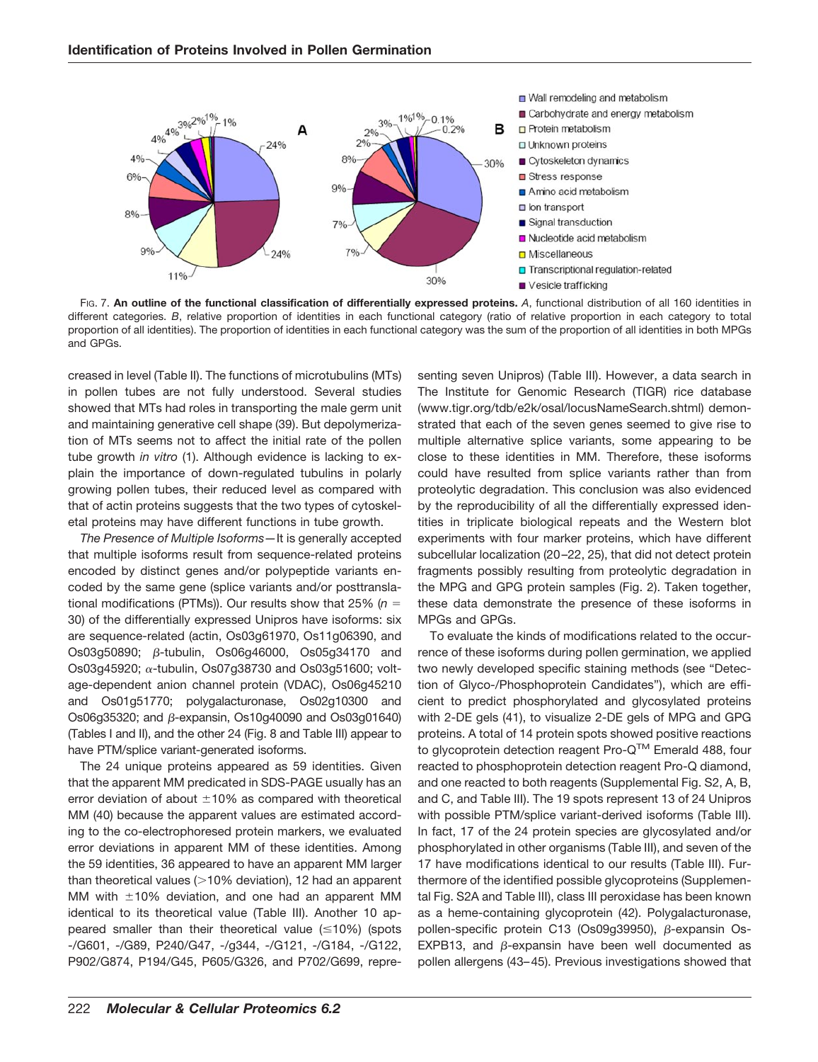

FIG. 7. **An outline of the functional classification of differentially expressed proteins.** *A*, functional distribution of all 160 identities in different categories. *B*, relative proportion of identities in each functional category (ratio of relative proportion in each category to total proportion of all identities). The proportion of identities in each functional category was the sum of the proportion of all identities in both MPGs and GPGs.

creased in level (Table II). The functions of microtubulins (MTs) in pollen tubes are not fully understood. Several studies showed that MTs had roles in transporting the male germ unit and maintaining generative cell shape (39). But depolymerization of MTs seems not to affect the initial rate of the pollen tube growth *in vitro* (1). Although evidence is lacking to explain the importance of down-regulated tubulins in polarly growing pollen tubes, their reduced level as compared with that of actin proteins suggests that the two types of cytoskeletal proteins may have different functions in tube growth.

*The Presence of Multiple Isoforms—*It is generally accepted that multiple isoforms result from sequence-related proteins encoded by distinct genes and/or polypeptide variants encoded by the same gene (splice variants and/or posttranslational modifications (PTMs)). Our results show that 25% (*n* 30) of the differentially expressed Unipros have isoforms: six are sequence-related (actin, Os03g61970, Os11g06390, and Os03g50890; β-tubulin, Os06g46000, Os05g34170 and  $Os03q45920; \alpha$ -tubulin, Os07q38730 and Os03q51600; voltage-dependent anion channel protein (VDAC), Os06g45210 and Os01g51770; polygalacturonase, Os02g10300 and Os06g35320; and  $\beta$ -expansin, Os10g40090 and Os03g01640) (Tables I and II), and the other 24 (Fig. 8 and Table III) appear to have PTM/splice variant-generated isoforms.

The 24 unique proteins appeared as 59 identities. Given that the apparent MM predicated in SDS-PAGE usually has an error deviation of about  $\pm 10\%$  as compared with theoretical MM (40) because the apparent values are estimated according to the co-electrophoresed protein markers, we evaluated error deviations in apparent MM of these identities. Among the 59 identities, 36 appeared to have an apparent MM larger than theoretical values  $(>=10\%$  deviation), 12 had an apparent MM with  $\pm 10\%$  deviation, and one had an apparent MM identical to its theoretical value (Table III). Another 10 appeared smaller than their theoretical value  $(10\%)$  (spots -/G601, -/G89, P240/G47, -/g344, -/G121, -/G184, -/G122, P902/G874, P194/G45, P605/G326, and P702/G699, representing seven Unipros) (Table III). However, a data search in The Institute for Genomic Research (TIGR) rice database (www.tigr.org/tdb/e2k/osal/locusNameSearch.shtml) demonstrated that each of the seven genes seemed to give rise to multiple alternative splice variants, some appearing to be close to these identities in MM. Therefore, these isoforms could have resulted from splice variants rather than from proteolytic degradation. This conclusion was also evidenced by the reproducibility of all the differentially expressed identities in triplicate biological repeats and the Western blot experiments with four marker proteins, which have different subcellular localization (20 –22, 25), that did not detect protein fragments possibly resulting from proteolytic degradation in the MPG and GPG protein samples (Fig. 2). Taken together, these data demonstrate the presence of these isoforms in MPGs and GPGs.

To evaluate the kinds of modifications related to the occurrence of these isoforms during pollen germination, we applied two newly developed specific staining methods (see "Detection of Glyco-/Phosphoprotein Candidates"), which are efficient to predict phosphorylated and glycosylated proteins with 2-DE gels (41), to visualize 2-DE gels of MPG and GPG proteins. A total of 14 protein spots showed positive reactions to glycoprotein detection reagent Pro-Q™ Emerald 488, four reacted to phosphoprotein detection reagent Pro-Q diamond, and one reacted to both reagents (Supplemental Fig. S2, A, B, and C, and Table III). The 19 spots represent 13 of 24 Unipros with possible PTM/splice variant-derived isoforms (Table III). In fact, 17 of the 24 protein species are glycosylated and/or phosphorylated in other organisms (Table III), and seven of the 17 have modifications identical to our results (Table III). Furthermore of the identified possible glycoproteins (Supplemental Fig. S2A and Table III), class III peroxidase has been known as a heme-containing glycoprotein (42). Polygalacturonase, pollen-specific protein C13 (Os09g39950), β-expansin Os-EXPB13, and  $\beta$ -expansin have been well documented as pollen allergens (43– 45). Previous investigations showed that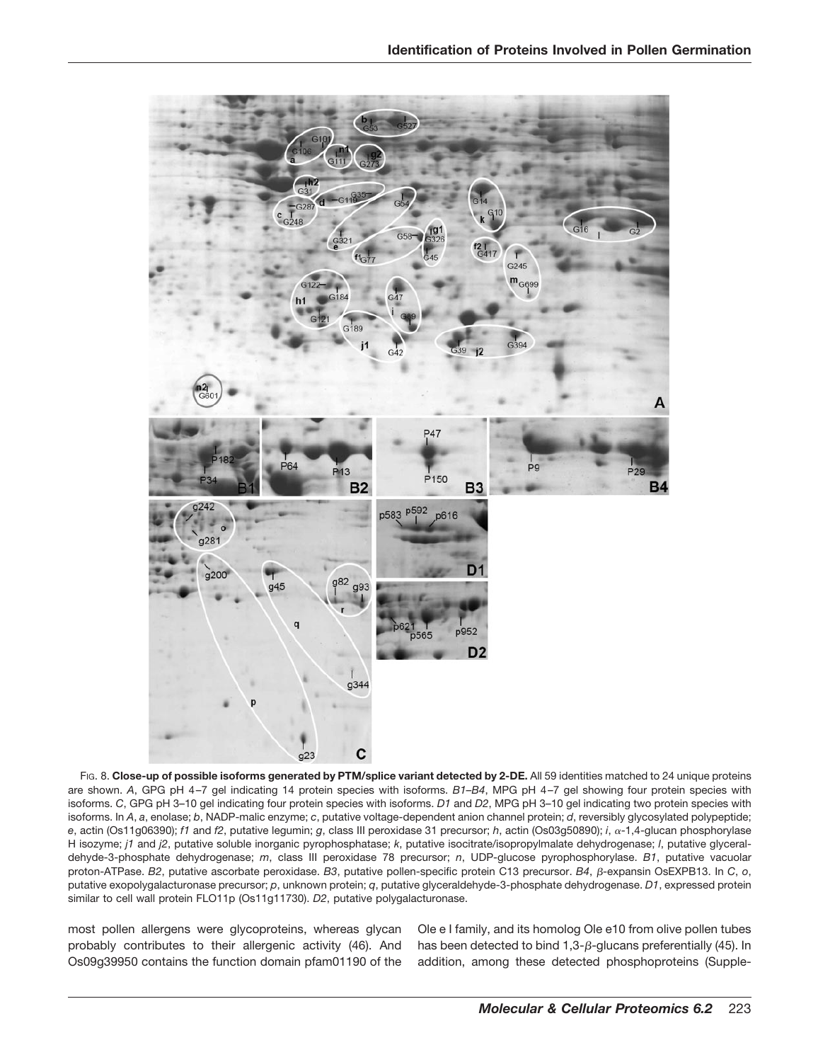

FIG. 8. Close-up of possible isoforms generated by PTM/splice variant detected by 2-DE. All 59 identities matched to 24 unique proteins are shown. *A*, GPG pH 4 –7 gel indicating 14 protein species with isoforms. *B1–B4*, MPG pH 4 –7 gel showing four protein species with isoforms. *C*, GPG pH 3–10 gel indicating four protein species with isoforms. *D1* and *D2*, MPG pH 3–10 gel indicating two protein species with isoforms. In *A*, *a*, enolase; *b*, NADP-malic enzyme; *c*, putative voltage-dependent anion channel protein; *d*, reversibly glycosylated polypeptide; *e*, actin (Os11g06390); *f1* and *f2*, putative legumin; *g*, class III peroxidase 31 precursor; *h*, actin (Os03g50890); *i*, -1,4-glucan phosphorylase H isozyme; *j1* and *j2*, putative soluble inorganic pyrophosphatase; *k*, putative isocitrate/isopropylmalate dehydrogenase; *l*, putative glyceraldehyde-3-phosphate dehydrogenase; *m*, class III peroxidase 78 precursor; *n*, UDP-glucose pyrophosphorylase. *B1*, putative vacuolar proton-ATPase. B2, putative ascorbate peroxidase. B3, putative pollen-specific protein C13 precursor. B4, β-expansin OsEXPB13. In *C*, o, putative exopolygalacturonase precursor; *p*, unknown protein; *q*, putative glyceraldehyde-3-phosphate dehydrogenase. *D1*, expressed protein similar to cell wall protein FLO11p (Os11g11730). *D2*, putative polygalacturonase.

most pollen allergens were glycoproteins, whereas glycan probably contributes to their allergenic activity (46). And Os09g39950 contains the function domain pfam01190 of the Ole e I family, and its homolog Ole e10 from olive pollen tubes has been detected to bind 1,3- $\beta$ -glucans preferentially (45). In addition, among these detected phosphoproteins (Supple-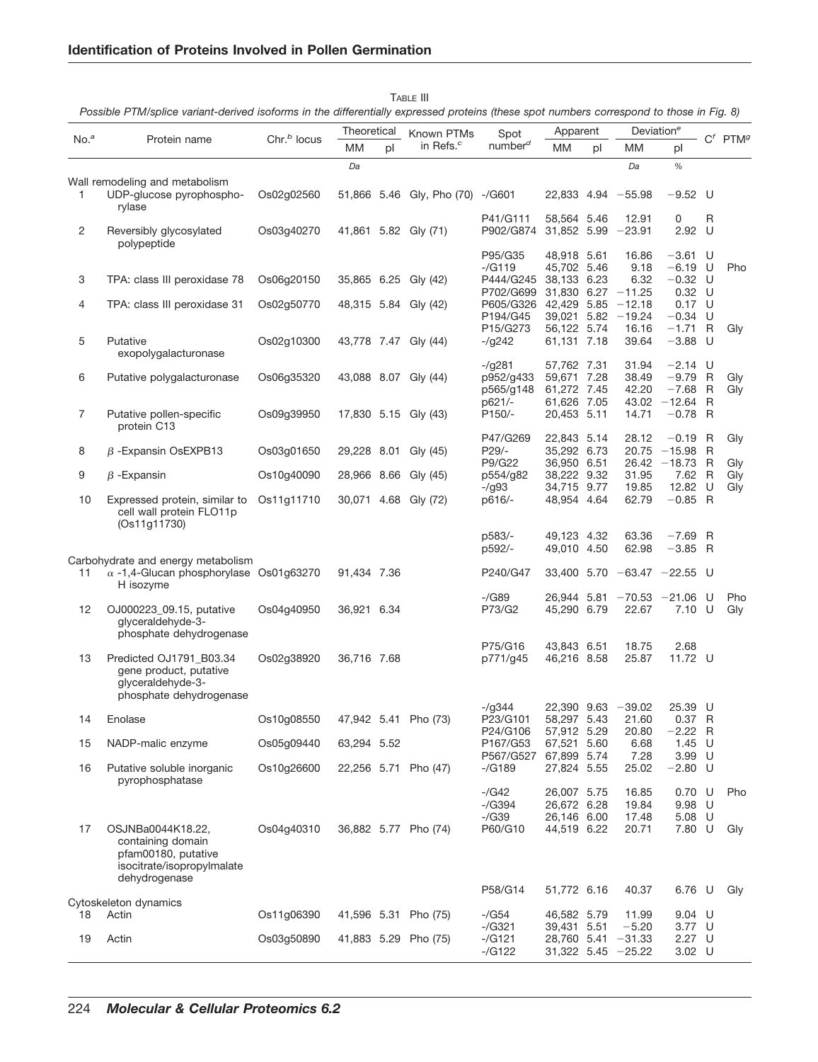|                  |                                                                                                              |                          | Theoretical |    |                                     |                                   | Apparent                                  |      | Deviation <sup>e</sup>             |                                     |   |                        |
|------------------|--------------------------------------------------------------------------------------------------------------|--------------------------|-------------|----|-------------------------------------|-----------------------------------|-------------------------------------------|------|------------------------------------|-------------------------------------|---|------------------------|
| No. <sup>a</sup> | Protein name                                                                                                 | Chr. <sup>b</sup> locus  | MМ          | pl | Known PTMs<br>in Refs. <sup>c</sup> | Spot<br>number <sup>d</sup>       | МM                                        | pl   | МM                                 | pl                                  |   | $C^f$ PTM <sup>g</sup> |
|                  |                                                                                                              |                          | Da          |    |                                     |                                   |                                           |      | Da                                 | $\%$                                |   |                        |
|                  | Wall remodeling and metabolism                                                                               |                          |             |    |                                     |                                   |                                           |      |                                    |                                     |   |                        |
| 1                | UDP-glucose pyrophospho-<br>rylase                                                                           | Os02g02560               |             |    | 51,866 5.46 Gly, Pho (70) -/G601    |                                   |                                           |      | $22,833$ 4.94 $-55.98$             | $-9.52$ U                           |   |                        |
| 2                | Reversibly glycosylated<br>polypeptide                                                                       | Os03g40270               |             |    | 41,861 5.82 Gly (71)                | P41/G111<br>P902/G874             | 58,564 5.46<br>31,852 5.99                |      | 12.91<br>$-23.91$                  | 0<br>2.92 U                         | R |                        |
| 3                | TPA: class III peroxidase 78                                                                                 | Os06q20150               |             |    | 35,865 6.25 Gly (42)                | P95/G35<br>$-(G119)$<br>P444/G245 | 48,918 5.61<br>45,702 5.46<br>38,133      | 6.23 | 16.86<br>9.18<br>6.32              | $-3.61$ U<br>$-6.19$ U<br>$-0.32$ U |   | Pho                    |
| 4                | TPA: class III peroxidase 31                                                                                 | Os02g50770               |             |    | 48,315 5.84 Gly (42)                | P702/G699<br>P605/G326 42,429     | 31,830                                    | 5.85 | $6.27 - 11.25$<br>$-12.18$         | $0.32$ U<br>$0.17 \quad U$          |   |                        |
|                  |                                                                                                              |                          |             |    |                                     | P194/G45<br>P15/G273              | 39,021<br>56,122 5.74                     | 5.82 | $-19.24$<br>16.16                  | $-0.34$ U<br>$-1.71$                | R | Gly                    |
| 5                | Putative<br>exopolygalacturonase                                                                             | Os02g10300               |             |    | 43,778 7.47 Gly (44)                | $-(q242)$<br>$-\frac{9281}{5}$    | 61,131 7.18<br>57,762 7.31                |      | 39.64<br>31.94                     | $-3.88$ U<br>$-2.14$ U              |   |                        |
| 6                | Putative polygalacturonase                                                                                   | Os06g35320               |             |    | 43,088 8.07 Gly (44)                | p952/g433<br>p565/g148            | 59,671 7.28<br>61,272 7.45                |      | 38.49<br>42.20                     | $-9.79$ R<br>$-7.68$                | R | Gly<br>Gly             |
| 7                | Putative pollen-specific<br>protein C13                                                                      | Os09g39950               |             |    | 17,830 5.15 Gly (43)                | p621/-<br>P150/-                  | 61,626 7.05<br>20,453 5.11                |      | 43.02<br>14.71                     | $-12.64$<br>$-0.78$ R               | R |                        |
| 8                | $\beta$ -Expansin OsEXPB13                                                                                   | Os03g01650               |             |    | 29,228 8.01 Gly (45)                | P47/G269<br>P29/-<br>P9/G22       | 22,843 5.14<br>35,292 6.73<br>36,950 6.51 |      | 28.12<br>20.75<br>26.42            | $-0.19$ R<br>$-15.98$<br>$-18.73$ R | R | Gly                    |
| 9                | $\beta$ -Expansin                                                                                            | Os10g40090               |             |    | 28,966 8.66 Gly (45)                | p554/g82                          | 38,222 9.32                               |      | 31.95                              | 7.62                                | R | Gly<br>Gly             |
| 10               | Expressed protein, similar to<br>cell wall protein FLO11p<br>(Os11g11730)                                    | Os11g11710               |             |    | 30,071 4.68 Gly (72)                | $-\frac{93}{3}$<br>p616/-         | 34,715 9.77<br>48,954 4.64                |      | 19.85<br>62.79                     | 12.82<br>$-0.85$ R                  | U | Gly                    |
|                  |                                                                                                              |                          |             |    |                                     | p583/-<br>p592/-                  | 49,123 4.32<br>49,010 4.50                |      | 63.36<br>62.98                     | $-7.69$ R<br>$-3.85$ R              |   |                        |
| 11               | Carbohydrate and energy metabolism<br>$\alpha$ -1,4-Glucan phosphorylase Os01g63270<br>H isozyme             |                          | 91,434 7.36 |    |                                     | P240/G47                          | 33,400                                    |      | $5.70$ $-63.47$ $-22.55$ U         |                                     |   |                        |
| 12               | OJ000223_09.15, putative<br>glyceraldehyde-3-<br>phosphate dehydrogenase                                     | Os04g40950               | 36,921 6.34 |    |                                     | -/G89<br>P73/G2                   | 26,944 5.81<br>45,290 6.79                |      | $-70.53$<br>22.67                  | $-21.06$ U<br>7.10 U                |   | Pho<br>Gly             |
| 13               | Predicted OJ1791 B03.34<br>gene product, putative<br>qlyceraldehyde-3-                                       | Os02g38920               | 36,716 7.68 |    |                                     | P75/G16<br>p771/g45               | 43,843 6.51<br>46,216 8.58                |      | 18.75<br>25.87                     | 2.68<br>11.72 U                     |   |                        |
|                  | phosphate dehydrogenase                                                                                      |                          |             |    |                                     | -/g344                            | 22,390 9.63                               |      | $-39.02$                           | 25.39 U                             |   |                        |
| 14               | Enolase<br>NADP-malic enzyme                                                                                 | Os10g08550               |             |    | 47,942 5.41 Pho (73)                | P23/G101<br>P24/G106              | 58,297 5.43<br>57,912 5.29                |      | 21.60<br>20.80                     | $0.37$ R<br>-2.22 R<br>$1.45$ U     |   |                        |
| 15<br>16         | Putative soluble inorganic                                                                                   | Os05g09440<br>Os10g26600 | 63,294 5.52 |    | 22,256 5.71 Pho (47)                | P167/G53<br>P567/G527<br>-/G189   | 67,521<br>67,899 5.74<br>27,824 5.55      | 5.60 | 6.68<br>7.28<br>25.02              | 3.99 U<br>$-2.80$ U                 |   |                        |
|                  | pyrophosphatase                                                                                              |                          |             |    |                                     | -/G42<br>$-(G394)$                | 26,007 5.75<br>26,672 6.28                |      | 16.85<br>19.84                     | $0.70$ U<br>9.98 U                  |   | Pho                    |
| 17               | OSJNBa0044K18.22,<br>containing domain<br>pfam00180, putative<br>isocitrate/isopropylmalate<br>dehydrogenase | Os04g40310               |             |    | 36,882 5.77 Pho (74)                | $-\sqrt{G}39$<br>P60/G10          | 26,146 6.00<br>44,519 6.22                |      | 17.48<br>20.71                     | $5.08$ U<br>7.80 U                  |   | Gly                    |
|                  | Cytoskeleton dynamics                                                                                        |                          |             |    |                                     | P58/G14                           | 51,772 6.16                               |      | 40.37                              | 6.76 U                              |   | Gly                    |
| 18               | Actin                                                                                                        | Os11g06390               |             |    | 41,596 5.31 Pho (75)                | -/G54<br>$-(G321)$                | 46,582 5.79<br>39,431 5.51                |      | 11.99<br>$-5.20$                   | $9.04$ U<br>3.77 U                  |   |                        |
| 19               | Actin                                                                                                        | Os03g50890               |             |    | 41,883 5.29 Pho (75)                | $-(G121)$<br>$-(G122)$            | 28,760 5.41                               |      | $-31.33$<br>$31,322$ 5.45 $-25.22$ | $2.27 \quad U$<br>3.02 U            |   |                        |

TABLE III

*Possible PTM/splice variant-derived isoforms in the differentially expressed proteins (these spot numbers correspond to those in Fig. 8)*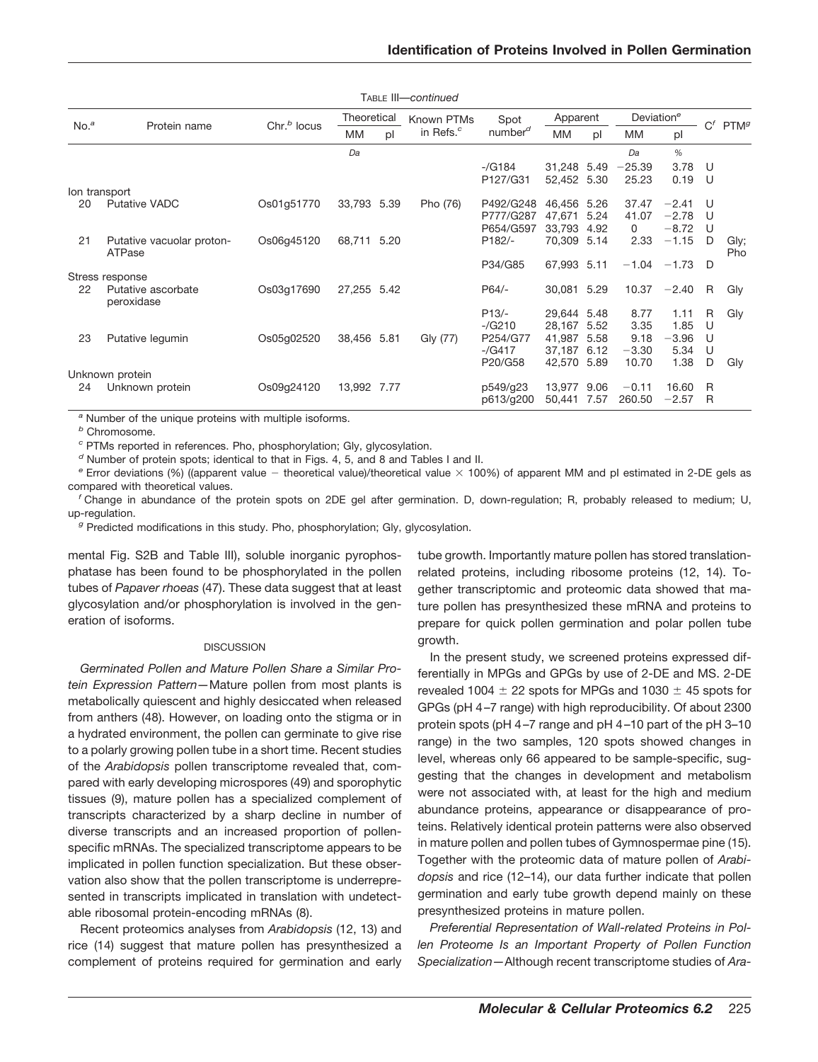|                  |                                     |                         |             |    | TABLE III-continued   |                     |             |      |                        |         |    |                        |
|------------------|-------------------------------------|-------------------------|-------------|----|-----------------------|---------------------|-------------|------|------------------------|---------|----|------------------------|
|                  |                                     |                         | Theoretical |    | Known PTMs            | Spot                | Apparent    |      | Deviation <sup>e</sup> |         |    |                        |
| No. <sup>a</sup> | Protein name                        | Chr. <sup>b</sup> locus | MM          | pl | in Refs. <sup>c</sup> | number <sup>d</sup> | МM          | pl   | MM                     | pl      |    | $C^f$ PTM <sup>g</sup> |
|                  |                                     |                         | Da          |    |                       |                     |             |      | Da                     | $\%$    |    |                        |
|                  |                                     |                         |             |    |                       | $-(G184)$           | 31,248 5.49 |      | $-25.39$               | 3.78    | -U |                        |
|                  |                                     |                         |             |    |                       | P127/G31            | 52,452      | 5.30 | 25.23                  | 0.19    | U  |                        |
|                  | lon transport                       |                         |             |    |                       |                     |             |      |                        |         |    |                        |
| 20               | <b>Putative VADC</b>                | Os01q51770              | 33,793 5.39 |    | Pho (76)              | P492/G248           | 46,456      | 5.26 | 37.47                  | $-2.41$ | U  |                        |
|                  |                                     |                         |             |    |                       | P777/G287           | 47,671      | 5.24 | 41.07                  | $-2.78$ | IJ |                        |
|                  |                                     |                         |             |    |                       | P654/G597           | 33,793      | 4.92 | 0                      | $-8.72$ | U  |                        |
| 21               | Putative vacuolar proton-<br>ATPase | Os06g45120              | 68,711 5.20 |    |                       | P182/-              | 70,309      | 5.14 | 2.33                   | $-1.15$ | D  | Gly;<br>Pho            |
|                  |                                     |                         |             |    |                       | P34/G85             | 67,993      | 5.11 | $-1.04$                | $-1.73$ | D  |                        |
|                  | Stress response                     |                         |             |    |                       |                     |             |      |                        |         |    |                        |
| 22               | Putative ascorbate<br>peroxidase    | Os03g17690              | 27,255 5.42 |    |                       | $P64/-$             | 30,081 5.29 |      | 10.37                  | $-2.40$ | R  | Gly                    |
|                  |                                     |                         |             |    |                       | $P13/-$             | 29.644 5.48 |      | 8.77                   | 1.11    | R  | Gly                    |
|                  |                                     |                         |             |    |                       | $-(G210)$           | 28,167      | 5.52 | 3.35                   | 1.85    | U  |                        |
| 23               | Putative legumin                    | Os05g02520              | 38,456 5.81 |    | Gly (77)              | P254/G77            | 41,987      | 5.58 | 9.18                   | $-3.96$ | U  |                        |
|                  |                                     |                         |             |    |                       | $-(G417)$           | 37,187      | 6.12 | $-3.30$                | 5.34    | U  |                        |
|                  |                                     |                         |             |    |                       | P20/G58             | 42,570      | 5.89 | 10.70                  | 1.38    | D  | Gly                    |
|                  | Unknown protein                     |                         |             |    |                       |                     |             |      |                        |         |    |                        |
| 24               | Unknown protein                     | Os09g24120              | 13,992 7.77 |    |                       | p549/g23            | 13,977      | 9.06 | $-0.11$                | 16.60   | R  |                        |
|                  |                                     |                         |             |    |                       | p613/g200           | 50,441      | 7.57 | 260.50                 | $-2.57$ | R  |                        |

*<sup>a</sup>* Number of the unique proteins with multiple isoforms.

*<sup>b</sup>* Chromosome.

*<sup>c</sup>* PTMs reported in references. Pho, phosphorylation; Gly, glycosylation.

*<sup>d</sup>* Number of protein spots; identical to that in Figs. 4, 5, and 8 and Tables I and II.

*e* Error deviations (%) ((apparent value - theoretical value)/theoretical value × 100%) of apparent MM and pI estimated in 2-DE gels as compared with theoretical values.

*<sup>f</sup>* Change in abundance of the protein spots on 2DE gel after germination. D, down-regulation; R, probably released to medium; U, up-regulation.

*<sup>g</sup>* Predicted modifications in this study. Pho, phosphorylation; Gly, glycosylation.

mental Fig. S2B and Table III), soluble inorganic pyrophosphatase has been found to be phosphorylated in the pollen tubes of *Papaver rhoeas* (47). These data suggest that at least glycosylation and/or phosphorylation is involved in the generation of isoforms.

### **DISCUSSION**

*Germinated Pollen and Mature Pollen Share a Similar Protein Expression Pattern—*Mature pollen from most plants is metabolically quiescent and highly desiccated when released from anthers (48). However, on loading onto the stigma or in a hydrated environment, the pollen can germinate to give rise to a polarly growing pollen tube in a short time. Recent studies of the *Arabidopsis* pollen transcriptome revealed that, compared with early developing microspores (49) and sporophytic tissues (9), mature pollen has a specialized complement of transcripts characterized by a sharp decline in number of diverse transcripts and an increased proportion of pollenspecific mRNAs. The specialized transcriptome appears to be implicated in pollen function specialization. But these observation also show that the pollen transcriptome is underrepresented in transcripts implicated in translation with undetectable ribosomal protein-encoding mRNAs (8).

Recent proteomics analyses from *Arabidopsis* (12, 13) and rice (14) suggest that mature pollen has presynthesized a complement of proteins required for germination and early tube growth. Importantly mature pollen has stored translationrelated proteins, including ribosome proteins (12, 14). Together transcriptomic and proteomic data showed that mature pollen has presynthesized these mRNA and proteins to prepare for quick pollen germination and polar pollen tube growth.

In the present study, we screened proteins expressed differentially in MPGs and GPGs by use of 2-DE and MS. 2-DE revealed 1004  $\pm$  22 spots for MPGs and 1030  $\pm$  45 spots for GPGs (pH 4 –7 range) with high reproducibility. Of about 2300 protein spots (pH 4 –7 range and pH 4 –10 part of the pH 3–10 range) in the two samples, 120 spots showed changes in level, whereas only 66 appeared to be sample-specific, suggesting that the changes in development and metabolism were not associated with, at least for the high and medium abundance proteins, appearance or disappearance of proteins. Relatively identical protein patterns were also observed in mature pollen and pollen tubes of Gymnospermae pine (15). Together with the proteomic data of mature pollen of *Arabidopsis* and rice (12–14), our data further indicate that pollen germination and early tube growth depend mainly on these presynthesized proteins in mature pollen.

*Preferential Representation of Wall-related Proteins in Pollen Proteome Is an Important Property of Pollen Function Specialization—*Although recent transcriptome studies of *Ara-*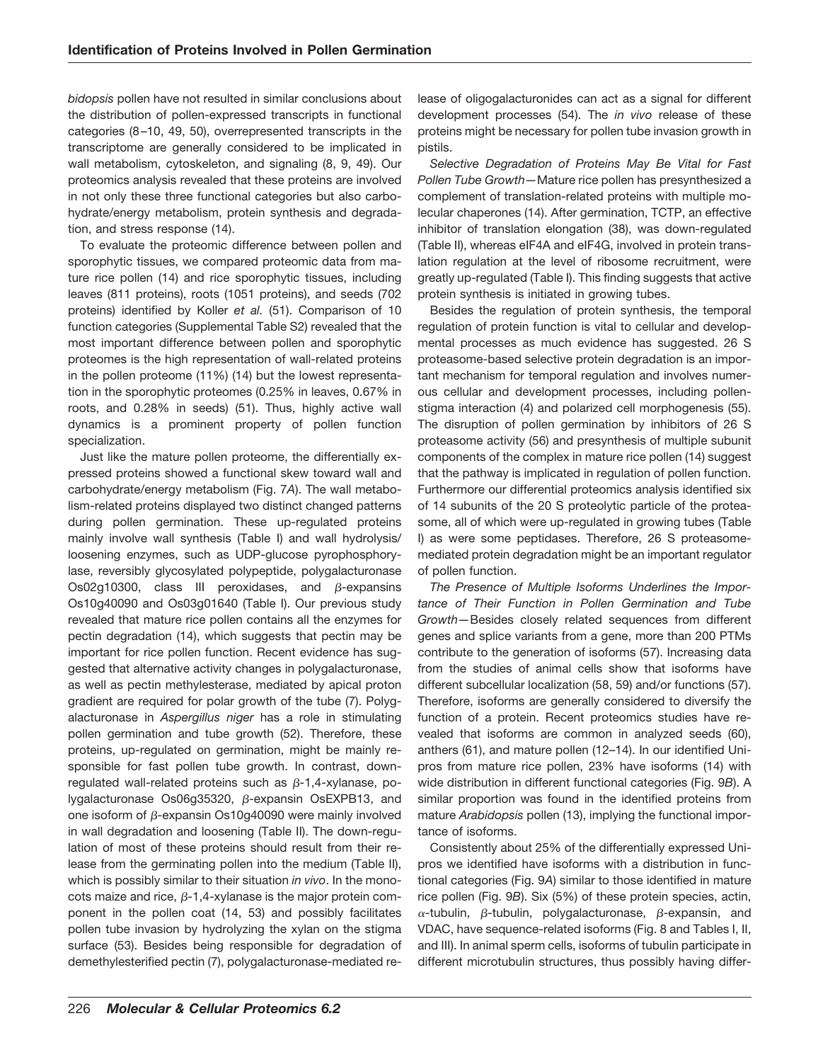*bidopsis* pollen have not resulted in similar conclusions about the distribution of pollen-expressed transcripts in functional categories (8 –10, 49, 50), overrepresented transcripts in the transcriptome are generally considered to be implicated in wall metabolism, cytoskeleton, and signaling (8, 9, 49). Our proteomics analysis revealed that these proteins are involved in not only these three functional categories but also carbohydrate/energy metabolism, protein synthesis and degradation, and stress response (14).

To evaluate the proteomic difference between pollen and sporophytic tissues, we compared proteomic data from mature rice pollen (14) and rice sporophytic tissues, including leaves (811 proteins), roots (1051 proteins), and seeds (702 proteins) identified by Koller *et al.* (51). Comparison of 10 function categories (Supplemental Table S2) revealed that the most important difference between pollen and sporophytic proteomes is the high representation of wall-related proteins in the pollen proteome (11%) (14) but the lowest representation in the sporophytic proteomes (0.25% in leaves, 0.67% in roots, and 0.28% in seeds) (51). Thus, highly active wall dynamics is a prominent property of pollen function specialization.

Just like the mature pollen proteome, the differentially expressed proteins showed a functional skew toward wall and carbohydrate/energy metabolism (Fig. 7*A*). The wall metabolism-related proteins displayed two distinct changed patterns during pollen germination. These up-regulated proteins mainly involve wall synthesis (Table I) and wall hydrolysis/ loosening enzymes, such as UDP-glucose pyrophosphorylase, reversibly glycosylated polypeptide, polygalacturonase Os02g10300, class III peroxidases, and  $\beta$ -expansins Os10g40090 and Os03g01640 (Table I). Our previous study revealed that mature rice pollen contains all the enzymes for pectin degradation (14), which suggests that pectin may be important for rice pollen function. Recent evidence has suggested that alternative activity changes in polygalacturonase, as well as pectin methylesterase, mediated by apical proton gradient are required for polar growth of the tube (7). Polygalacturonase in *Aspergillus niger* has a role in stimulating pollen germination and tube growth (52). Therefore, these proteins, up-regulated on germination, might be mainly responsible for fast pollen tube growth. In contrast, downregulated wall-related proteins such as  $\beta$ -1,4-xylanase, polygalacturonase Os06g35320,  $\beta$ -expansin OsEXPB13, and one isoform of  $\beta$ -expansin Os10g40090 were mainly involved in wall degradation and loosening (Table II). The down-regulation of most of these proteins should result from their release from the germinating pollen into the medium (Table II), which is possibly similar to their situation *in vivo*. In the monocots maize and rice,  $\beta$ -1,4-xylanase is the major protein component in the pollen coat (14, 53) and possibly facilitates pollen tube invasion by hydrolyzing the xylan on the stigma surface (53). Besides being responsible for degradation of demethylesterified pectin (7), polygalacturonase-mediated release of oligogalacturonides can act as a signal for different development processes (54). The *in vivo* release of these proteins might be necessary for pollen tube invasion growth in pistils.

*Selective Degradation of Proteins May Be Vital for Fast Pollen Tube Growth—*Mature rice pollen has presynthesized a complement of translation-related proteins with multiple molecular chaperones (14). After germination, TCTP, an effective inhibitor of translation elongation (38), was down-regulated (Table II), whereas eIF4A and eIF4G, involved in protein translation regulation at the level of ribosome recruitment, were greatly up-regulated (Table I). This finding suggests that active protein synthesis is initiated in growing tubes.

Besides the regulation of protein synthesis, the temporal regulation of protein function is vital to cellular and developmental processes as much evidence has suggested. 26 S proteasome-based selective protein degradation is an important mechanism for temporal regulation and involves numerous cellular and development processes, including pollenstigma interaction (4) and polarized cell morphogenesis (55). The disruption of pollen germination by inhibitors of 26 S proteasome activity (56) and presynthesis of multiple subunit components of the complex in mature rice pollen (14) suggest that the pathway is implicated in regulation of pollen function. Furthermore our differential proteomics analysis identified six of 14 subunits of the 20 S proteolytic particle of the proteasome, all of which were up-regulated in growing tubes (Table I) as were some peptidases. Therefore, 26 S proteasomemediated protein degradation might be an important regulator of pollen function.

*The Presence of Multiple Isoforms Underlines the Importance of Their Function in Pollen Germination and Tube Growth—*Besides closely related sequences from different genes and splice variants from a gene, more than 200 PTMs contribute to the generation of isoforms (57). Increasing data from the studies of animal cells show that isoforms have different subcellular localization (58, 59) and/or functions (57). Therefore, isoforms are generally considered to diversify the function of a protein. Recent proteomics studies have revealed that isoforms are common in analyzed seeds (60), anthers (61), and mature pollen (12–14). In our identified Unipros from mature rice pollen, 23% have isoforms (14) with wide distribution in different functional categories (Fig. 9*B*). A similar proportion was found in the identified proteins from mature *Arabidopsis* pollen (13), implying the functional importance of isoforms.

Consistently about 25% of the differentially expressed Unipros we identified have isoforms with a distribution in functional categories (Fig. 9*A*) similar to those identified in mature rice pollen (Fig. 9*B*). Six (5%) of these protein species, actin,  $\alpha$ -tubulin,  $\beta$ -tubulin, polygalacturonase,  $\beta$ -expansin, and VDAC, have sequence-related isoforms (Fig. 8 and Tables I, II, and III). In animal sperm cells, isoforms of tubulin participate in different microtubulin structures, thus possibly having differ-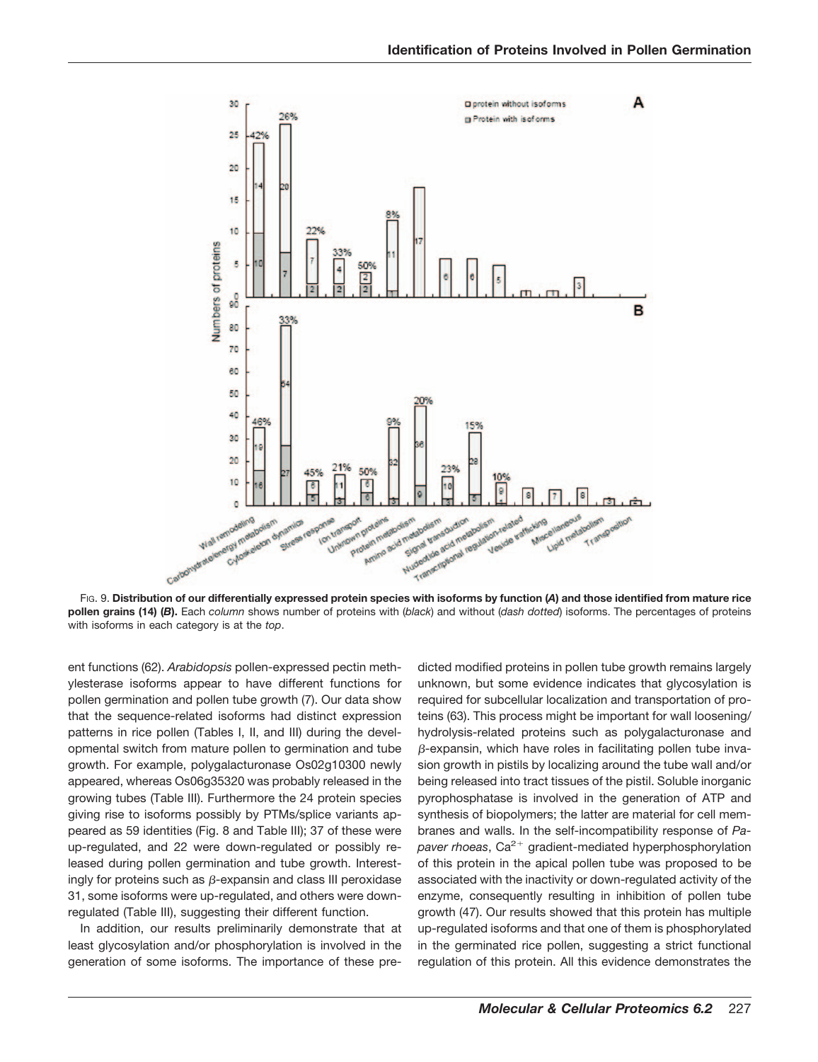

FIG. 9. **Distribution of our differentially expressed protein species with isoforms by function (***A***) and those identified from mature rice pollen grains (14) (***B***).** Each *column* shows number of proteins with (*black*) and without (*dash dotted*) isoforms. The percentages of proteins with isoforms in each category is at the *top*.

ent functions (62). *Arabidopsis* pollen-expressed pectin methylesterase isoforms appear to have different functions for pollen germination and pollen tube growth (7). Our data show that the sequence-related isoforms had distinct expression patterns in rice pollen (Tables I, II, and III) during the developmental switch from mature pollen to germination and tube growth. For example, polygalacturonase Os02g10300 newly appeared, whereas Os06g35320 was probably released in the growing tubes (Table III). Furthermore the 24 protein species giving rise to isoforms possibly by PTMs/splice variants appeared as 59 identities (Fig. 8 and Table III); 37 of these were up-regulated, and 22 were down-regulated or possibly released during pollen germination and tube growth. Interestingly for proteins such as  $\beta$ -expansin and class III peroxidase 31, some isoforms were up-regulated, and others were downregulated (Table III), suggesting their different function.

In addition, our results preliminarily demonstrate that at least glycosylation and/or phosphorylation is involved in the generation of some isoforms. The importance of these predicted modified proteins in pollen tube growth remains largely unknown, but some evidence indicates that glycosylation is required for subcellular localization and transportation of proteins (63). This process might be important for wall loosening/ hydrolysis-related proteins such as polygalacturonase and  $\beta$ -expansin, which have roles in facilitating pollen tube invasion growth in pistils by localizing around the tube wall and/or being released into tract tissues of the pistil. Soluble inorganic pyrophosphatase is involved in the generation of ATP and synthesis of biopolymers; the latter are material for cell membranes and walls. In the self-incompatibility response of *Papaver rhoeas*,  $Ca^{2+}$  gradient-mediated hyperphosphorylation of this protein in the apical pollen tube was proposed to be associated with the inactivity or down-regulated activity of the enzyme, consequently resulting in inhibition of pollen tube growth (47). Our results showed that this protein has multiple up-regulated isoforms and that one of them is phosphorylated in the germinated rice pollen, suggesting a strict functional regulation of this protein. All this evidence demonstrates the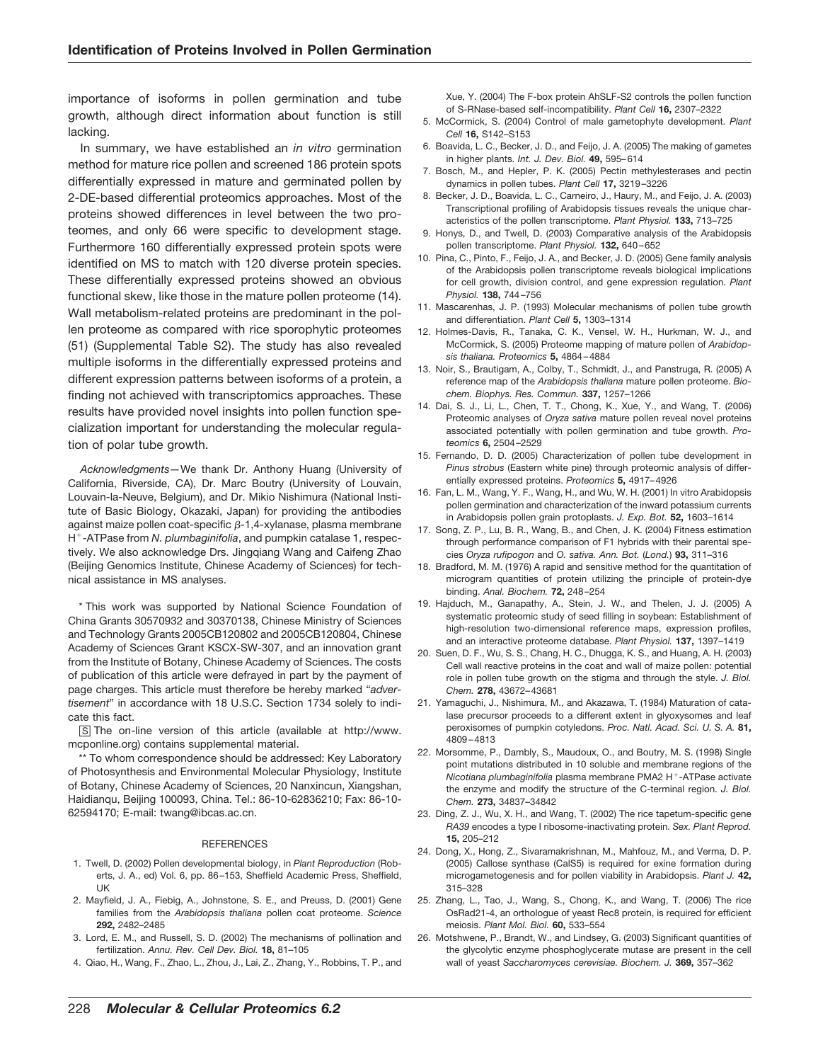importance of isoforms in pollen germination and tube growth, although direct information about function is still lacking.

In summary, we have established an *in vitro* germination method for mature rice pollen and screened 186 protein spots differentially expressed in mature and germinated pollen by 2-DE-based differential proteomics approaches. Most of the proteins showed differences in level between the two proteomes, and only 66 were specific to development stage. Furthermore 160 differentially expressed protein spots were identified on MS to match with 120 diverse protein species. These differentially expressed proteins showed an obvious functional skew, like those in the mature pollen proteome (14). Wall metabolism-related proteins are predominant in the pollen proteome as compared with rice sporophytic proteomes (51) (Supplemental Table S2). The study has also revealed multiple isoforms in the differentially expressed proteins and different expression patterns between isoforms of a protein, a finding not achieved with transcriptomics approaches. These results have provided novel insights into pollen function specialization important for understanding the molecular regulation of polar tube growth.

*Acknowledgments—*We thank Dr. Anthony Huang (University of California, Riverside, CA), Dr. Marc Boutry (University of Louvain, Louvain-la-Neuve, Belgium), and Dr. Mikio Nishimura (National Institute of Basic Biology, Okazaki, Japan) for providing the antibodies against maize pollen coat-specific  $\beta$ -1,4-xylanase, plasma membrane H<sup>+</sup>-ATPase from *N. plumbaginifolia*, and pumpkin catalase 1, respectively. We also acknowledge Drs. Jingqiang Wang and Caifeng Zhao (Beijing Genomics Institute, Chinese Academy of Sciences) for technical assistance in MS analyses.

\* This work was supported by National Science Foundation of China Grants 30570932 and 30370138, Chinese Ministry of Sciences and Technology Grants 2005CB120802 and 2005CB120804, Chinese Academy of Sciences Grant KSCX-SW-307, and an innovation grant from the Institute of Botany, Chinese Academy of Sciences. The costs of publication of this article were defrayed in part by the payment of page charges. This article must therefore be hereby marked "*advertisement*" in accordance with 18 U.S.C. Section 1734 solely to indicate this fact.

□S The on-line version of this article (available at http://www. mcponline.org) contains supplemental material.

\*\* To whom correspondence should be addressed: Key Laboratory of Photosynthesis and Environmental Molecular Physiology, Institute of Botany, Chinese Academy of Sciences, 20 Nanxincun, Xiangshan, Haidianqu, Beijing 100093, China. Tel.: 86-10-62836210; Fax: 86-10- 62594170; E-mail: twang@ibcas.ac.cn.

#### **REFERENCES**

- 1. Twell, D. (2002) Pollen developmental biology, in *Plant Reproduction* (Roberts, J. A., ed) Vol. 6, pp. 86 –153, Sheffield Academic Press, Sheffield, UK
- 2. Mayfield, J. A., Fiebig, A., Johnstone, S. E., and Preuss, D. (2001) Gene families from the *Arabidopsis thaliana* pollen coat proteome. *Science* **292,** 2482–2485
- 3. Lord, E. M., and Russell, S. D. (2002) The mechanisms of pollination and fertilization. *Annu. Rev. Cell Dev. Biol.* **18,** 81–105
- 4. Qiao, H., Wang, F., Zhao, L., Zhou, J., Lai, Z., Zhang, Y., Robbins, T. P., and

Xue, Y. (2004) The F-box protein AhSLF-S2 controls the pollen function of S-RNase-based self-incompatibility. *Plant Cell* **16,** 2307–2322

- 5. McCormick, S. (2004) Control of male gametophyte development. *Plant Cell* **16,** S142–S153
- 6. Boavida, L. C., Becker, J. D., and Feijo, J. A. (2005) The making of gametes in higher plants. *Int. J. Dev. Biol.* **49,** 595– 614
- 7. Bosch, M., and Hepler, P. K. (2005) Pectin methylesterases and pectin dynamics in pollen tubes. *Plant Cell* **17,** 3219 –3226
- 8. Becker, J. D., Boavida, L. C., Carneiro, J., Haury, M., and Feijo, J. A. (2003) Transcriptional profiling of Arabidopsis tissues reveals the unique characteristics of the pollen transcriptome. *Plant Physiol.* **133,** 713–725
- 9. Honys, D., and Twell, D. (2003) Comparative analysis of the Arabidopsis pollen transcriptome. *Plant Physiol.* **132,** 640 – 652
- 10. Pina, C., Pinto, F., Feijo, J. A., and Becker, J. D. (2005) Gene family analysis of the Arabidopsis pollen transcriptome reveals biological implications for cell growth, division control, and gene expression regulation. *Plant Physiol.* **138,** 744 –756
- 11. Mascarenhas, J. P. (1993) Molecular mechanisms of pollen tube growth and differentiation. *Plant Cell* **5,** 1303–1314
- 12. Holmes-Davis, R., Tanaka, C. K., Vensel, W. H., Hurkman, W. J., and McCormick, S. (2005) Proteome mapping of mature pollen of *Arabidopsis thaliana. Proteomics* **5,** 4864 – 4884
- 13. Noir, S., Brautigam, A., Colby, T., Schmidt, J., and Panstruga, R. (2005) A reference map of the *Arabidopsis thaliana* mature pollen proteome. *Biochem. Biophys. Res. Commun.* **337,** 1257–1266
- 14. Dai, S. J., Li, L., Chen, T. T., Chong, K., Xue, Y., and Wang, T. (2006) Proteomic analyses of *Oryza sativa* mature pollen reveal novel proteins associated potentially with pollen germination and tube growth. *Proteomics* **6,** 2504 –2529
- 15. Fernando, D. D. (2005) Characterization of pollen tube development in *Pinus strobus* (Eastern white pine) through proteomic analysis of differentially expressed proteins. *Proteomics* **5,** 4917– 4926
- 16. Fan, L. M., Wang, Y. F., Wang, H., and Wu, W. H. (2001) In vitro Arabidopsis pollen germination and characterization of the inward potassium currents in Arabidopsis pollen grain protoplasts. *J. Exp. Bot.* **52,** 1603–1614
- 17. Song, Z. P., Lu, B. R., Wang, B., and Chen, J. K. (2004) Fitness estimation through performance comparison of F1 hybrids with their parental species *Oryza rufipogon* and *O. sativa. Ann. Bot.* (*Lond.*) **93,** 311–316
- 18. Bradford, M. M. (1976) A rapid and sensitive method for the quantitation of microgram quantities of protein utilizing the principle of protein-dye binding. *Anal. Biochem.* **72,** 248 –254
- 19. Hajduch, M., Ganapathy, A., Stein, J. W., and Thelen, J. J. (2005) A systematic proteomic study of seed filling in soybean: Establishment of high-resolution two-dimensional reference maps, expression profiles, and an interactive proteome database. *Plant Physiol.* **137,** 1397–1419
- 20. Suen, D. F., Wu, S. S., Chang, H. C., Dhugga, K. S., and Huang, A. H. (2003) Cell wall reactive proteins in the coat and wall of maize pollen: potential role in pollen tube growth on the stigma and through the style. *J. Biol. Chem.* **278,** 43672– 43681
- 21. Yamaguchi, J., Nishimura, M., and Akazawa, T. (1984) Maturation of catalase precursor proceeds to a different extent in glyoxysomes and leaf peroxisomes of pumpkin cotyledons. *Proc. Natl. Acad. Sci. U. S. A.* **81,** 4809 – 4813
- 22. Morsomme, P., Dambly, S., Maudoux, O., and Boutry, M. S. (1998) Single point mutations distributed in 10 soluble and membrane regions of the *Nicotiana plumbaginifolia* plasma membrane PMA2 H<sup>+</sup>-ATPase activate the enzyme and modify the structure of the C-terminal region. *J. Biol. Chem.* **273,** 34837–34842
- 23. Ding, Z. J., Wu, X. H., and Wang, T. (2002) The rice tapetum-specific gene *RA39* encodes a type I ribosome-inactivating protein. *Sex. Plant Reprod.* **15,** 205–212
- 24. Dong, X., Hong, Z., Sivaramakrishnan, M., Mahfouz, M., and Verma, D. P. (2005) Callose synthase (CalS5) is required for exine formation during microgametogenesis and for pollen viability in Arabidopsis. *Plant J.* **42,** 315–328
- 25. Zhang, L., Tao, J., Wang, S., Chong, K., and Wang, T. (2006) The rice OsRad21-4, an orthologue of yeast Rec8 protein, is required for efficient meiosis. *Plant Mol. Biol.* **60,** 533–554
- 26. Motshwene, P., Brandt, W., and Lindsey, G. (2003) Significant quantities of the glycolytic enzyme phosphoglycerate mutase are present in the cell wall of yeast *Saccharomyces cerevisiae. Biochem. J.* **369,** 357–362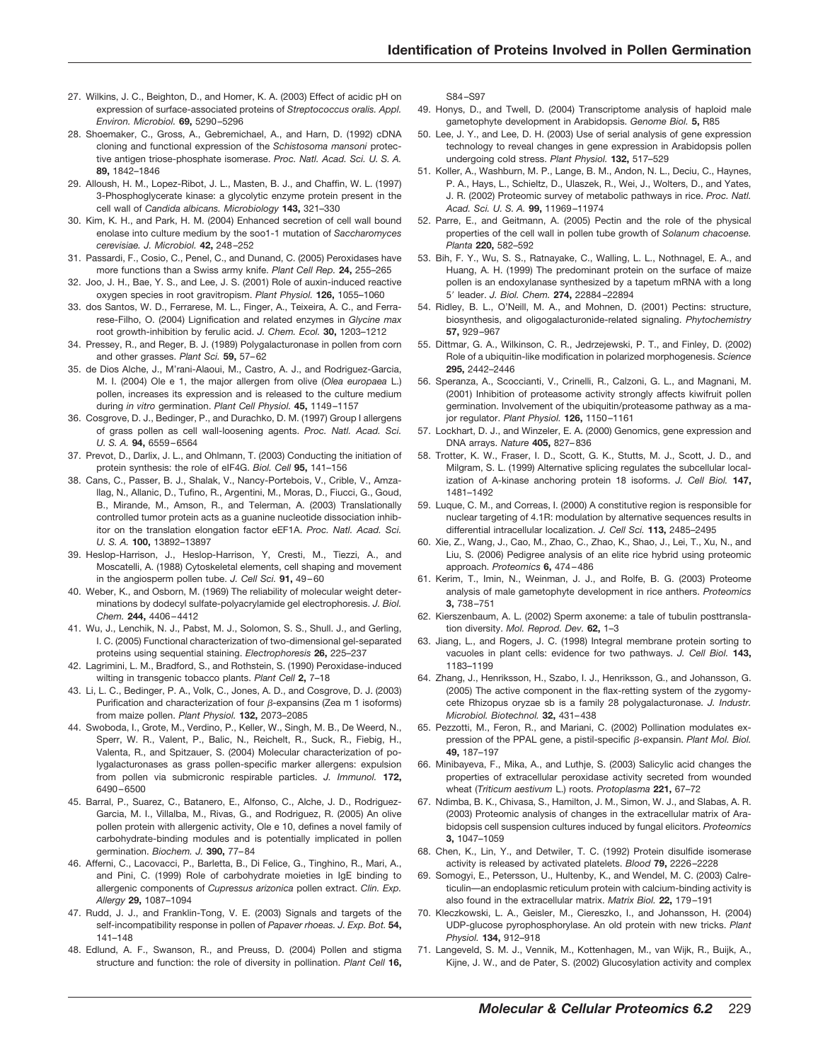- 27. Wilkins, J. C., Beighton, D., and Homer, K. A. (2003) Effect of acidic pH on expression of surface-associated proteins of *Streptococcus oralis. Appl. Environ. Microbiol.* **69,** 5290 –5296
- 28. Shoemaker, C., Gross, A., Gebremichael, A., and Harn, D. (1992) cDNA cloning and functional expression of the *Schistosoma mansoni* protective antigen triose-phosphate isomerase. *Proc. Natl. Acad. Sci. U. S. A.* **89,** 1842–1846
- 29. Alloush, H. M., Lopez-Ribot, J. L., Masten, B. J., and Chaffin, W. L. (1997) 3-Phosphoglycerate kinase: a glycolytic enzyme protein present in the cell wall of *Candida albicans. Microbiology* **143,** 321–330
- 30. Kim, K. H., and Park, H. M. (2004) Enhanced secretion of cell wall bound enolase into culture medium by the soo1-1 mutation of *Saccharomyces cerevisiae. J. Microbiol.* **42,** 248 –252
- 31. Passardi, F., Cosio, C., Penel, C., and Dunand, C. (2005) Peroxidases have more functions than a Swiss army knife. *Plant Cell Rep.* **24,** 255–265
- 32. Joo, J. H., Bae, Y. S., and Lee, J. S. (2001) Role of auxin-induced reactive oxygen species in root gravitropism. *Plant Physiol.* **126,** 1055–1060
- 33. dos Santos, W. D., Ferrarese, M. L., Finger, A., Teixeira, A. C., and Ferrarese-Filho, O. (2004) Lignification and related enzymes in *Glycine max* root growth-inhibition by ferulic acid. *J. Chem. Ecol.* **30,** 1203–1212
- 34. Pressey, R., and Reger, B. J. (1989) Polygalacturonase in pollen from corn and other grasses. *Plant Sci.* **59,** 57– 62
- 35. de Dios Alche, J., M'rani-Alaoui, M., Castro, A. J., and Rodriguez-Garcia, M. I. (2004) Ole e 1, the major allergen from olive (*Olea europaea* L.) pollen, increases its expression and is released to the culture medium during *in vitro* germination. *Plant Cell Physiol.* **45,** 1149 –1157
- 36. Cosgrove, D. J., Bedinger, P., and Durachko, D. M. (1997) Group I allergens of grass pollen as cell wall-loosening agents. *Proc. Natl. Acad. Sci. U. S. A.* **94,** 6559 – 6564
- 37. Prevot, D., Darlix, J. L., and Ohlmann, T. (2003) Conducting the initiation of protein synthesis: the role of eIF4G. *Biol. Cell* **95,** 141–156
- 38. Cans, C., Passer, B. J., Shalak, V., Nancy-Portebois, V., Crible, V., Amzallag, N., Allanic, D., Tufino, R., Argentini, M., Moras, D., Fiucci, G., Goud, B., Mirande, M., Amson, R., and Telerman, A. (2003) Translationally controlled tumor protein acts as a guanine nucleotide dissociation inhibitor on the translation elongation factor eEF1A. *Proc. Natl. Acad. Sci. U. S. A.* **100,** 13892–13897
- 39. Heslop-Harrison, J., Heslop-Harrison, Y, Cresti, M., Tiezzi, A., and Moscatelli, A. (1988) Cytoskeletal elements, cell shaping and movement in the angiosperm pollen tube. *J. Cell Sci.* **91,** 49 – 60
- 40. Weber, K., and Osborn, M. (1969) The reliability of molecular weight determinations by dodecyl sulfate-polyacrylamide gel electrophoresis. *J. Biol. Chem.* **244,** 4406 – 4412
- 41. Wu, J., Lenchik, N. J., Pabst, M. J., Solomon, S. S., Shull. J., and Gerling, I. C. (2005) Functional characterization of two-dimensional gel-separated proteins using sequential staining. *Electrophoresis* **26,** 225–237
- 42. Lagrimini, L. M., Bradford, S., and Rothstein, S. (1990) Peroxidase-induced wilting in transgenic tobacco plants. *Plant Cell* **2,** 7–18
- 43. Li, L. C., Bedinger, P. A., Volk, C., Jones, A. D., and Cosgrove, D. J. (2003) Purification and characterization of four  $\beta$ -expansins (Zea m 1 isoforms) from maize pollen. *Plant Physiol.* **132,** 2073–2085
- 44. Swoboda, I., Grote, M., Verdino, P., Keller, W., Singh, M. B., De Weerd, N., Sperr, W. R., Valent, P., Balic, N., Reichelt, R., Suck, R., Fiebig, H., Valenta, R., and Spitzauer, S. (2004) Molecular characterization of polygalacturonases as grass pollen-specific marker allergens: expulsion from pollen via submicronic respirable particles. *J. Immunol.* **172,** 6490 – 6500
- 45. Barral, P., Suarez, C., Batanero, E., Alfonso, C., Alche, J. D., Rodriguez-Garcia, M. I., Villalba, M., Rivas, G., and Rodriguez, R. (2005) An olive pollen protein with allergenic activity, Ole e 10, defines a novel family of carbohydrate-binding modules and is potentially implicated in pollen germination. *Biochem. J.* **390,** 77– 84
- 46. Afferni, C., Lacovacci, P., Barletta, B., Di Felice, G., Tinghino, R., Mari, A., and Pini, C. (1999) Role of carbohydrate moieties in IgE binding to allergenic components of *Cupressus arizonica* pollen extract. *Clin. Exp. Allergy* **29,** 1087–1094
- 47. Rudd, J. J., and Franklin-Tong, V. E. (2003) Signals and targets of the self-incompatibility response in pollen of *Papaver rhoeas. J. Exp. Bot.* **54,** 141–148
- 48. Edlund, A. F., Swanson, R., and Preuss, D. (2004) Pollen and stigma structure and function: the role of diversity in pollination. *Plant Cell* **16,**

S84 –S97

- 49. Honys, D., and Twell, D. (2004) Transcriptome analysis of haploid male gametophyte development in Arabidopsis. *Genome Biol.* **5,** R85
- 50. Lee, J. Y., and Lee, D. H. (2003) Use of serial analysis of gene expression technology to reveal changes in gene expression in Arabidopsis pollen undergoing cold stress. *Plant Physiol.* **132,** 517–529
- 51. Koller, A., Washburn, M. P., Lange, B. M., Andon, N. L., Deciu, C., Haynes, P. A., Hays, L., Schieltz, D., Ulaszek, R., Wei, J., Wolters, D., and Yates, J. R. (2002) Proteomic survey of metabolic pathways in rice. *Proc. Natl. Acad. Sci. U. S. A.* **99,** 11969 –11974
- 52. Parre, E., and Geitmann, A. (2005) Pectin and the role of the physical properties of the cell wall in pollen tube growth of *Solanum chacoense. Planta* **220,** 582–592
- 53. Bih, F. Y., Wu, S. S., Ratnayake, C., Walling, L. L., Nothnagel, E. A., and Huang, A. H. (1999) The predominant protein on the surface of maize pollen is an endoxylanase synthesized by a tapetum mRNA with a long 5- leader. *J. Biol. Chem.* **274,** 22884 –22894
- 54. Ridley, B. L., O'Neill, M. A., and Mohnen, D. (2001) Pectins: structure, biosynthesis, and oligogalacturonide-related signaling. *Phytochemistry* **57,** 929 –967
- 55. Dittmar, G. A., Wilkinson, C. R., Jedrzejewski, P. T., and Finley, D. (2002) Role of a ubiquitin-like modification in polarized morphogenesis. *Science* **295,** 2442–2446
- 56. Speranza, A., Scoccianti, V., Crinelli, R., Calzoni, G. L., and Magnani, M. (2001) Inhibition of proteasome activity strongly affects kiwifruit pollen germination. Involvement of the ubiquitin/proteasome pathway as a major regulator. *Plant Physiol.* **126,** 1150 –1161
- 57. Lockhart, D. J., and Winzeler, E. A. (2000) Genomics, gene expression and DNA arrays. *Nature* **405,** 827– 836
- 58. Trotter, K. W., Fraser, I. D., Scott, G. K., Stutts, M. J., Scott, J. D., and Milgram, S. L. (1999) Alternative splicing regulates the subcellular localization of A-kinase anchoring protein 18 isoforms. *J. Cell Biol.* **147,** 1481–1492
- 59. Luque, C. M., and Correas, I. (2000) A constitutive region is responsible for nuclear targeting of 4.1R: modulation by alternative sequences results in differential intracellular localization. *J. Cell Sci.* **113,** 2485–2495
- 60. Xie, Z., Wang, J., Cao, M., Zhao, C., Zhao, K., Shao, J., Lei, T., Xu, N., and Liu, S. (2006) Pedigree analysis of an elite rice hybrid using proteomic approach. *Proteomics* **6,** 474 – 486
- 61. Kerim, T., Imin, N., Weinman, J. J., and Rolfe, B. G. (2003) Proteome analysis of male gametophyte development in rice anthers. *Proteomics* **3,** 738 –751
- 62. Kierszenbaum, A. L. (2002) Sperm axoneme: a tale of tubulin posttranslation diversity. *Mol. Reprod. Dev.* **62,** 1–3
- 63. Jiang, L., and Rogers, J. C. (1998) Integral membrane protein sorting to vacuoles in plant cells: evidence for two pathways. *J. Cell Biol.* **143,** 1183–1199
- 64. Zhang, J., Henriksson, H., Szabo, I. J., Henriksson, G., and Johansson, G. (2005) The active component in the flax-retting system of the zygomycete Rhizopus oryzae sb is a family 28 polygalacturonase. *J. Industr. Microbiol. Biotechnol.* **32,** 431– 438
- 65. Pezzotti, M., Feron, R., and Mariani, C. (2002) Pollination modulates expression of the PPAL gene, a pistil-specific  $\beta$ -expansin. *Plant Mol. Biol.* **49,** 187–197
- 66. Minibayeva, F., Mika, A., and Luthje, S. (2003) Salicylic acid changes the properties of extracellular peroxidase activity secreted from wounded wheat (*Triticum aestivum* L.) roots. *Protoplasma* **221,** 67–72
- 67. Ndimba, B. K., Chivasa, S., Hamilton, J. M., Simon, W. J., and Slabas, A. R. (2003) Proteomic analysis of changes in the extracellular matrix of Arabidopsis cell suspension cultures induced by fungal elicitors. *Proteomics* **3,** 1047–1059
- 68. Chen, K., Lin, Y., and Detwiler, T. C. (1992) Protein disulfide isomerase activity is released by activated platelets. *Blood* **79,** 2226 –2228
- 69. Somogyi, E., Petersson, U., Hultenby, K., and Wendel, M. C. (2003) Calreticulin—an endoplasmic reticulum protein with calcium-binding activity is also found in the extracellular matrix. *Matrix Biol.* **22,** 179 –191
- 70. Kleczkowski, L. A., Geisler, M., Ciereszko, I., and Johansson, H. (2004) UDP-glucose pyrophosphorylase. An old protein with new tricks. *Plant Physiol.* **134,** 912–918
- 71. Langeveld, S. M. J., Vennik, M., Kottenhagen, M., van Wijk, R., Buijk, A., Kijne, J. W., and de Pater, S. (2002) Glucosylation activity and complex